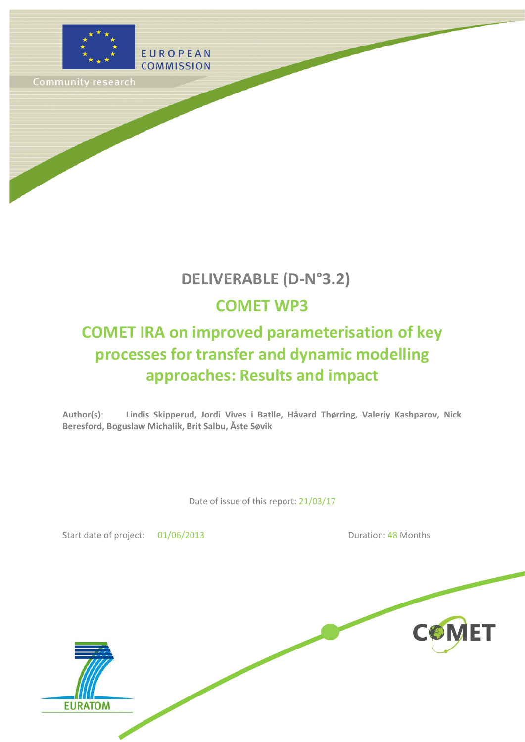

Community research

# **DELIVERABLE (D-N°3.2)**

# **COMET WP3**

# **COMET IRA on improved parameterisation of key processes for transfer and dynamic modelling approaches: Results and impact**

**Author(s)**: **Lindis Skipperud, Jordi Vives i Batlle, Håvard Thørring, Valeriy Kashparov, Nick Beresford, Boguslaw Michalik, Brit Salbu, Åste Søvik**

Date of issue of this report: 21/03/17

Start date of project: 01/06/2013 Duration: 48 Months

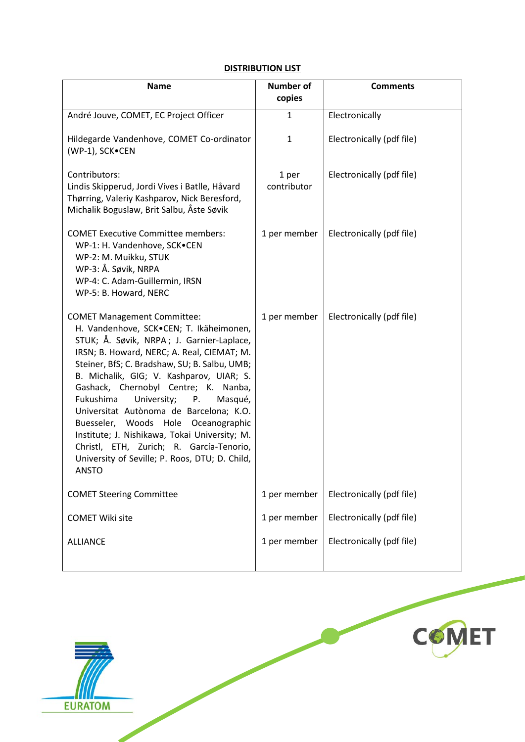### **DISTRIBUTION LIST**

| <b>Name</b>                                                                                                                                                                                                                                                                                                                                                                                                                                                                                                                                                                                          | <b>Number of</b><br>copies | <b>Comments</b>           |
|------------------------------------------------------------------------------------------------------------------------------------------------------------------------------------------------------------------------------------------------------------------------------------------------------------------------------------------------------------------------------------------------------------------------------------------------------------------------------------------------------------------------------------------------------------------------------------------------------|----------------------------|---------------------------|
| André Jouve, COMET, EC Project Officer                                                                                                                                                                                                                                                                                                                                                                                                                                                                                                                                                               | 1                          | Electronically            |
| Hildegarde Vandenhove, COMET Co-ordinator<br>(WP-1), SCK.CEN                                                                                                                                                                                                                                                                                                                                                                                                                                                                                                                                         | 1                          | Electronically (pdf file) |
| Contributors:<br>Lindis Skipperud, Jordi Vives i Batlle, Håvard<br>Thørring, Valeriy Kashparov, Nick Beresford,<br>Michalik Boguslaw, Brit Salbu, Åste Søvik                                                                                                                                                                                                                                                                                                                                                                                                                                         | 1 per<br>contributor       | Electronically (pdf file) |
| <b>COMET Executive Committee members:</b><br>WP-1: H. Vandenhove, SCK.CEN<br>WP-2: M. Muikku, STUK<br>WP-3: Å. Søvik, NRPA<br>WP-4: C. Adam-Guillermin, IRSN<br>WP-5: B. Howard, NERC                                                                                                                                                                                                                                                                                                                                                                                                                | 1 per member               | Electronically (pdf file) |
| <b>COMET Management Committee:</b><br>H. Vandenhove, SCK.CEN; T. Ikäheimonen,<br>STUK; Å. Søvik, NRPA; J. Garnier-Laplace,<br>IRSN; B. Howard, NERC; A. Real, CIEMAT; M.<br>Steiner, BfS; C. Bradshaw, SU; B. Salbu, UMB;<br>B. Michalik, GIG; V. Kashparov, UIAR; S.<br>Gashack, Chernobyl Centre; K. Nanba,<br>Fukushima<br>University;<br>P.<br>Masqué,<br>Universitat Autònoma de Barcelona; K.O.<br>Buesseler, Woods Hole Oceanographic<br>Institute; J. Nishikawa, Tokai University; M.<br>Christl, ETH, Zurich; R. García-Tenorio,<br>University of Seville; P. Roos, DTU; D. Child,<br>ANSTO | 1 per member               | Electronically (pdf file) |
| <b>COMET Steering Committee</b>                                                                                                                                                                                                                                                                                                                                                                                                                                                                                                                                                                      | 1 per member               | Electronically (pdf file) |
| <b>COMET Wiki site</b>                                                                                                                                                                                                                                                                                                                                                                                                                                                                                                                                                                               | 1 per member               | Electronically (pdf file) |
| <b>ALLIANCE</b>                                                                                                                                                                                                                                                                                                                                                                                                                                                                                                                                                                                      | 1 per member               | Electronically (pdf file) |

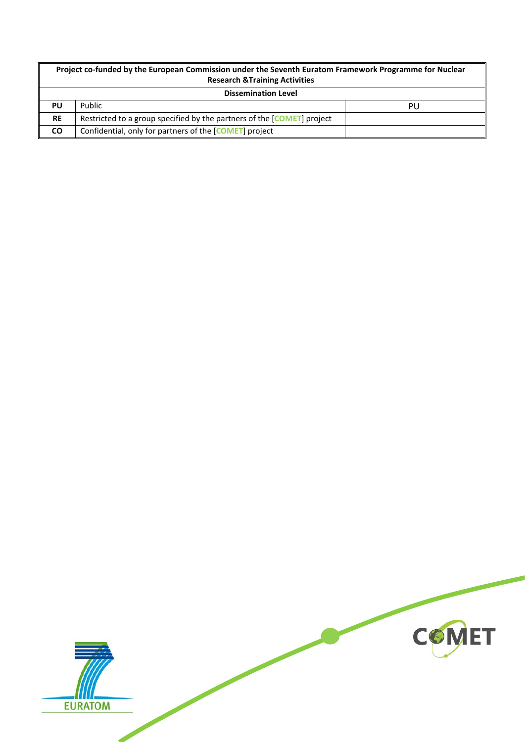| Project co-funded by the European Commission under the Seventh Euratom Framework Programme for Nuclear<br><b>Research &amp; Training Activities</b> |                                                                        |    |  |
|-----------------------------------------------------------------------------------------------------------------------------------------------------|------------------------------------------------------------------------|----|--|
| <b>Dissemination Level</b>                                                                                                                          |                                                                        |    |  |
| PU                                                                                                                                                  | Public                                                                 | PU |  |
| <b>RE</b>                                                                                                                                           | Restricted to a group specified by the partners of the [COMET] project |    |  |
| <b>CO</b>                                                                                                                                           | Confidential, only for partners of the [COMET] project                 |    |  |

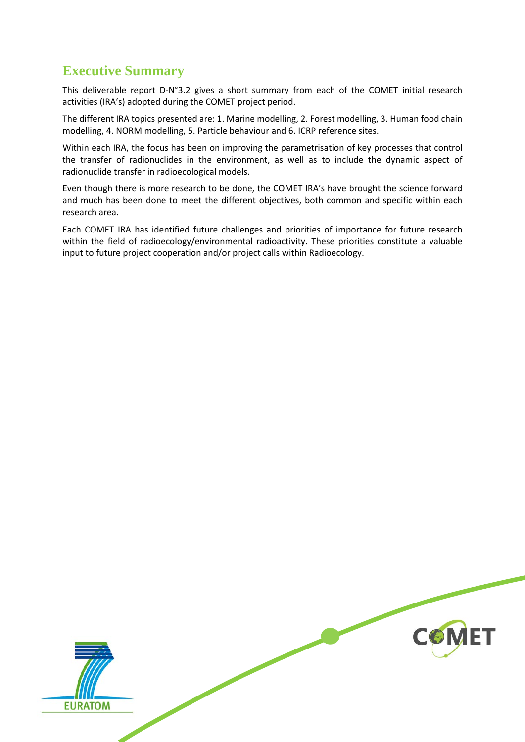### <span id="page-3-0"></span>**Executive Summary**

This deliverable report D-N°3.2 gives a short summary from each of the COMET initial research activities (IRA's) adopted during the COMET project period.

The different IRA topics presented are: 1. Marine modelling, 2. Forest modelling, 3. Human food chain modelling, 4. NORM modelling, 5. Particle behaviour and 6. ICRP reference sites.

Within each IRA, the focus has been on improving the parametrisation of key processes that control the transfer of radionuclides in the environment, as well as to include the dynamic aspect of radionuclide transfer in radioecological models.

Even though there is more research to be done, the COMET IRA's have brought the science forward and much has been done to meet the different objectives, both common and specific within each research area.

Each COMET IRA has identified future challenges and priorities of importance for future research within the field of radioecology/environmental radioactivity. These priorities constitute a valuable input to future project cooperation and/or project calls within Radioecology.

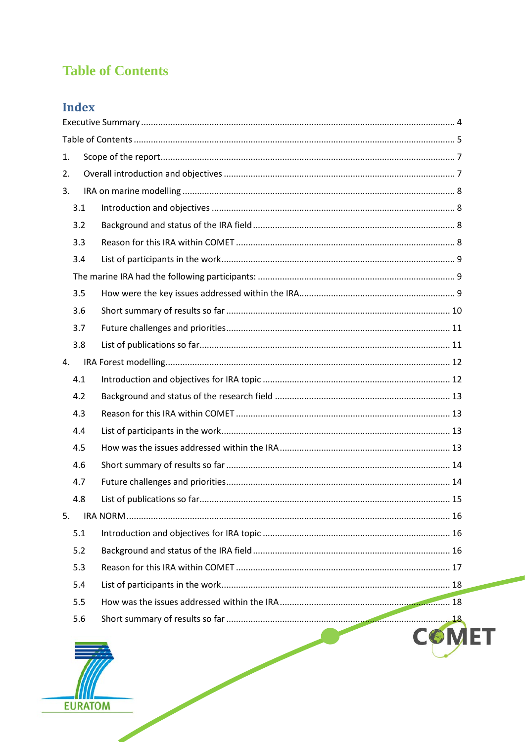## <span id="page-4-0"></span>**Table of Contents**

## Index

| 1. |     |  |              |  |  |
|----|-----|--|--------------|--|--|
| 2. |     |  |              |  |  |
| 3. |     |  |              |  |  |
|    | 3.1 |  |              |  |  |
|    | 3.2 |  |              |  |  |
|    | 3.3 |  |              |  |  |
|    | 3.4 |  |              |  |  |
|    |     |  |              |  |  |
|    | 3.5 |  |              |  |  |
|    | 3.6 |  |              |  |  |
|    | 3.7 |  |              |  |  |
|    | 3.8 |  |              |  |  |
| 4. |     |  |              |  |  |
|    | 4.1 |  |              |  |  |
|    | 4.2 |  |              |  |  |
|    | 4.3 |  |              |  |  |
|    | 4.4 |  |              |  |  |
|    | 4.5 |  |              |  |  |
|    | 4.6 |  |              |  |  |
|    | 4.7 |  |              |  |  |
|    | 4.8 |  |              |  |  |
| 5. |     |  |              |  |  |
|    | 5.1 |  |              |  |  |
|    | 5.2 |  |              |  |  |
|    | 5.3 |  |              |  |  |
|    | 5.4 |  |              |  |  |
|    | 5.5 |  |              |  |  |
|    | 5.6 |  |              |  |  |
|    |     |  | <b>COMET</b> |  |  |

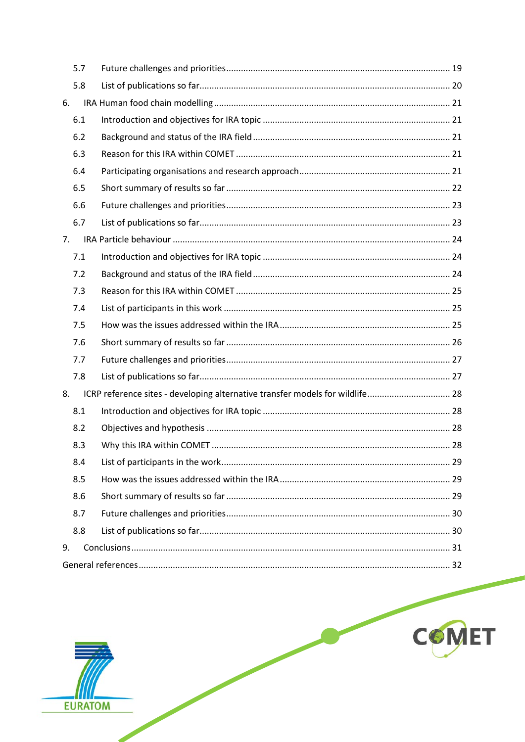|    | 5.7 |                                                                               |  |  |
|----|-----|-------------------------------------------------------------------------------|--|--|
|    | 5.8 |                                                                               |  |  |
| 6. |     |                                                                               |  |  |
|    | 6.1 |                                                                               |  |  |
|    | 6.2 |                                                                               |  |  |
|    | 6.3 |                                                                               |  |  |
|    | 6.4 |                                                                               |  |  |
|    | 6.5 |                                                                               |  |  |
|    | 6.6 |                                                                               |  |  |
|    | 6.7 |                                                                               |  |  |
| 7. |     |                                                                               |  |  |
|    | 7.1 |                                                                               |  |  |
|    | 7.2 |                                                                               |  |  |
|    | 7.3 |                                                                               |  |  |
|    | 7.4 |                                                                               |  |  |
|    | 7.5 |                                                                               |  |  |
|    | 7.6 |                                                                               |  |  |
|    | 7.7 |                                                                               |  |  |
|    | 7.8 |                                                                               |  |  |
| 8. |     | ICRP reference sites - developing alternative transfer models for wildlife 28 |  |  |
|    | 8.1 |                                                                               |  |  |
|    | 8.2 |                                                                               |  |  |
|    | 8.3 |                                                                               |  |  |
|    | 8.4 |                                                                               |  |  |
|    | 8.5 |                                                                               |  |  |
|    | 8.6 |                                                                               |  |  |
|    | 8.7 |                                                                               |  |  |
|    | 8.8 |                                                                               |  |  |
| 9. |     |                                                                               |  |  |
|    |     |                                                                               |  |  |



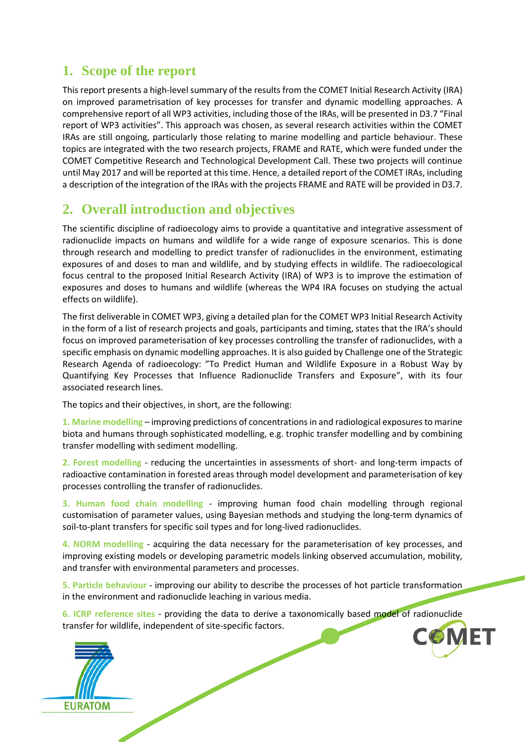### <span id="page-6-0"></span>**1. Scope of the report**

This report presents a high-level summary of the results from the COMET Initial Research Activity (IRA) on improved parametrisation of key processes for transfer and dynamic modelling approaches. A comprehensive report of all WP3 activities, including those of the IRAs, will be presented in D3.7 "Final report of WP3 activities". This approach was chosen, as several research activities within the COMET IRAs are still ongoing, particularly those relating to marine modelling and particle behaviour. These topics are integrated with the two research projects, FRAME and RATE, which were funded under the COMET Competitive Research and Technological Development Call. These two projects will continue until May 2017 and will be reported at this time. Hence, a detailed report of the COMET IRAs, including a description of the integration of the IRAs with the projects FRAME and RATE will be provided in D3.7.

### <span id="page-6-1"></span>**2. Overall introduction and objectives**

The scientific discipline of radioecology aims to provide a quantitative and integrative assessment of radionuclide impacts on humans and wildlife for a wide range of exposure scenarios. This is done through research and modelling to predict transfer of radionuclides in the environment, estimating exposures of and doses to man and wildlife, and by studying effects in wildlife. The radioecological focus central to the proposed Initial Research Activity (IRA) of WP3 is to improve the estimation of exposures and doses to humans and wildlife (whereas the WP4 IRA focuses on studying the actual effects on wildlife).

The first deliverable in COMET WP3, giving a detailed plan for the COMET WP3 Initial Research Activity in the form of a list of research projects and goals, participants and timing, states that the IRA's should focus on improved parameterisation of key processes controlling the transfer of radionuclides, with a specific emphasis on dynamic modelling approaches. It is also guided by Challenge one of the Strategic Research Agenda of radioecology: "To Predict Human and Wildlife Exposure in a Robust Way by Quantifying Key Processes that Influence Radionuclide Transfers and Exposure", with its four associated research lines.

The topics and their objectives, in short, are the following:

**1. Marine modelling** – improving predictions of concentrations in and radiological exposures to marine biota and humans through sophisticated modelling, e.g. trophic transfer modelling and by combining transfer modelling with sediment modelling.

**2. Forest modelling** - reducing the uncertainties in assessments of short- and long-term impacts of radioactive contamination in forested areas through model development and parameterisation of key processes controlling the transfer of radionuclides.

**3. Human food chain modelling** - improving human food chain modelling through regional customisation of parameter values, using Bayesian methods and studying the long-term dynamics of soil-to-plant transfers for specific soil types and for long-lived radionuclides.

**4. NORM modelling** - acquiring the data necessary for the parameterisation of key processes, and improving existing models or developing parametric models linking observed accumulation, mobility, and transfer with environmental parameters and processes.

**5. Particle behaviour** - improving our ability to describe the processes of hot particle transformation in the environment and radionuclide leaching in various media.

**COMET 6. ICRP reference sites** - providing the data to derive a taxonomically based model of radionuclide transfer for wildlife, independent of site-specific factors.

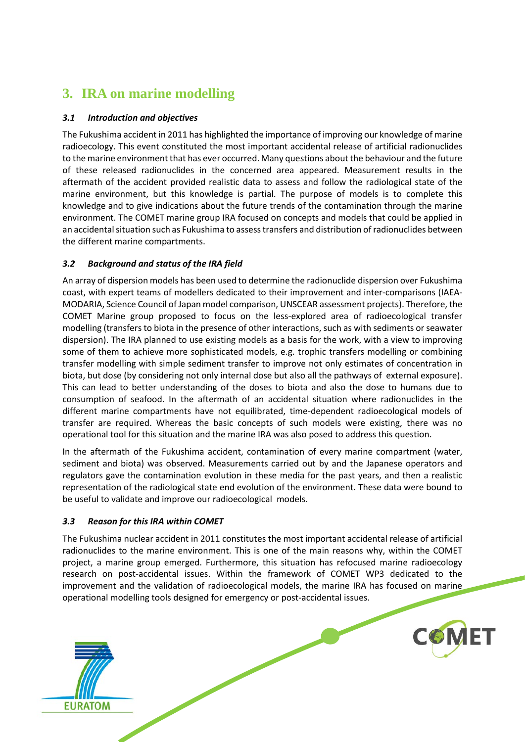## <span id="page-7-0"></span>**3. IRA on marine modelling**

### <span id="page-7-1"></span>*3.1 Introduction and objectives*

The Fukushima accident in 2011 has highlighted the importance of improving our knowledge of marine radioecology. This event constituted the most important accidental release of artificial radionuclides to the marine environment that has ever occurred. Many questions about the behaviour and the future of these released radionuclides in the concerned area appeared. Measurement results in the aftermath of the accident provided realistic data to assess and follow the radiological state of the marine environment, but this knowledge is partial. The purpose of models is to complete this knowledge and to give indications about the future trends of the contamination through the marine environment. The COMET marine group IRA focused on concepts and models that could be applied in an accidental situation such as Fukushima to assess transfers and distribution of radionuclides between the different marine compartments.

### <span id="page-7-2"></span>*3.2 Background and status of the IRA field*

An array of dispersion models has been used to determine the radionuclide dispersion over Fukushima coast, with expert teams of modellers dedicated to their improvement and inter-comparisons (IAEA-MODARIA, Science Council of Japan model comparison, UNSCEAR assessment projects). Therefore, the COMET Marine group proposed to focus on the less-explored area of radioecological transfer modelling (transfers to biota in the presence of other interactions, such as with sediments or seawater dispersion). The IRA planned to use existing models as a basis for the work, with a view to improving some of them to achieve more sophisticated models, e.g. trophic transfers modelling or combining transfer modelling with simple sediment transfer to improve not only estimates of concentration in biota, but dose (by considering not only internal dose but also all the pathways of external exposure). This can lead to better understanding of the doses to biota and also the dose to humans due to consumption of seafood. In the aftermath of an accidental situation where radionuclides in the different marine compartments have not equilibrated, time-dependent radioecological models of transfer are required. Whereas the basic concepts of such models were existing, there was no operational tool for this situation and the marine IRA was also posed to address this question.

In the aftermath of the Fukushima accident, contamination of every marine compartment (water, sediment and biota) was observed. Measurements carried out by and the Japanese operators and regulators gave the contamination evolution in these media for the past years, and then a realistic representation of the radiological state end evolution of the environment. These data were bound to be useful to validate and improve our radioecological models.

### <span id="page-7-3"></span>*3.3 Reason for this IRA within COMET*

**EURATOM** 

The Fukushima nuclear accident in 2011 constitutes the most important accidental release of artificial radionuclides to the marine environment. This is one of the main reasons why, within the COMET project, a marine group emerged. Furthermore, this situation has refocused marine radioecology research on post-accidental issues. Within the framework of COMET WP3 dedicated to the improvement and the validation of radioecological models, the marine IRA has focused on marine operational modelling tools designed for emergency or post-accidental issues.

**COMET**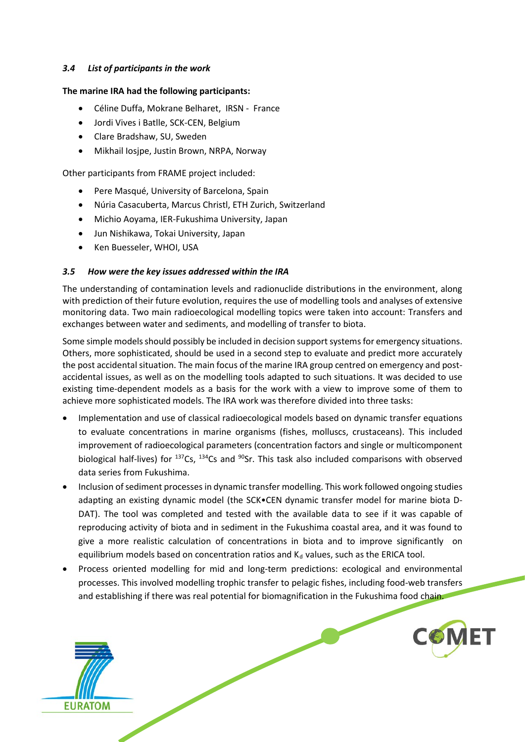#### <span id="page-8-0"></span>*3.4 List of participants in the work*

#### <span id="page-8-1"></span>**The marine IRA had the following participants:**

- Céline Duffa, Mokrane Belharet, IRSN France
- Jordi Vives i Batlle, SCK-CEN, Belgium
- Clare Bradshaw, SU, Sweden
- Mikhail Iosjpe, Justin Brown, NRPA, Norway

Other participants from FRAME project included:

- Pere Masqué, University of Barcelona, Spain
- Núria Casacuberta, Marcus Christl, ETH Zurich, Switzerland
- Michio Aoyama, IER-Fukushima University, Japan
- Jun Nishikawa, Tokai University, Japan
- Ken Buesseler, WHOI, USA

### <span id="page-8-2"></span>*3.5 How were the key issues addressed within the IRA*

The understanding of contamination levels and radionuclide distributions in the environment, along with prediction of their future evolution, requires the use of modelling tools and analyses of extensive monitoring data. Two main radioecological modelling topics were taken into account: Transfers and exchanges between water and sediments, and modelling of transfer to biota.

Some simple models should possibly be included in decision support systems for emergency situations. Others, more sophisticated, should be used in a second step to evaluate and predict more accurately the post accidental situation. The main focus of the marine IRA group centred on emergency and postaccidental issues, as well as on the modelling tools adapted to such situations. It was decided to use existing time-dependent models as a basis for the work with a view to improve some of them to achieve more sophisticated models. The IRA work was therefore divided into three tasks:

- Implementation and use of classical radioecological models based on dynamic transfer equations to evaluate concentrations in marine organisms (fishes, molluscs, crustaceans). This included improvement of radioecological parameters (concentration factors and single or multicomponent biological half-lives) for  $137Cs$ ,  $134Cs$  and  $90Sr$ . This task also included comparisons with observed data series from Fukushima.
- Inclusion of sediment processes in dynamic transfer modelling. This work followed ongoing studies adapting an existing dynamic model (the SCK•CEN dynamic transfer model for marine biota D-DAT). The tool was completed and tested with the available data to see if it was capable of reproducing activity of biota and in sediment in the Fukushima coastal area, and it was found to give a more realistic calculation of concentrations in biota and to improve significantly on equilibrium models based on concentration ratios and  $K_d$  values, such as the ERICA tool.
- Process oriented modelling for mid and long-term predictions: ecological and environmental processes. This involved modelling trophic transfer to pelagic fishes, including food-web transfers and establishing if there was real potential for biomagnification in the Fukushima food chain.



**COMET**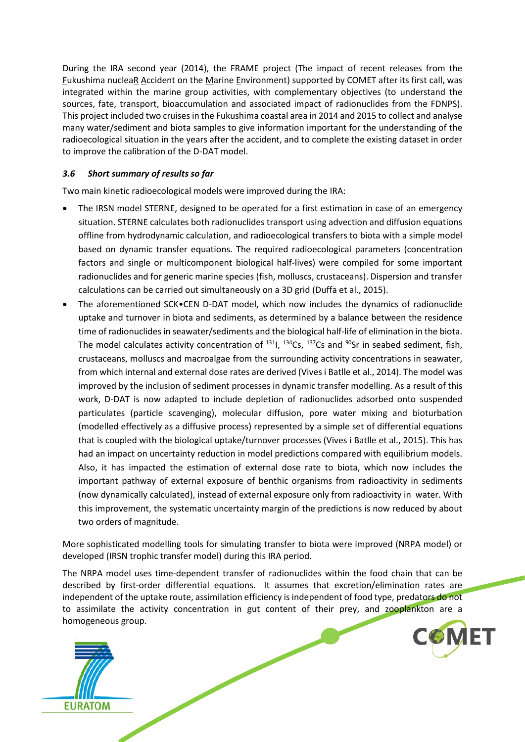During the IRA second year (2014), the FRAME project (The impact of recent releases from the Fukushima nucleaR Accident on the Marine Environment) supported by COMET after its first call, was integrated within the marine group activities, with complementary objectives (to understand the sources, fate, transport, bioaccumulation and associated impact of radionuclides from the FDNPS). This project included two cruises in the Fukushima coastal area in 2014 and 2015 to collect and analyse many water/sediment and biota samples to give information important for the understanding of the radioecological situation in the years after the accident, and to complete the existing dataset in order to improve the calibration of the D-DAT model.

#### <span id="page-9-0"></span>*3.6 Short summary of results so far*

Two main kinetic radioecological models were improved during the IRA:

- The IRSN model STERNE, designed to be operated for a first estimation in case of an emergency situation. STERNE calculates both radionuclides transport using advection and diffusion equations offline from hydrodynamic calculation, and radioecological transfers to biota with a simple model based on dynamic transfer equations. The required radioecological parameters (concentration factors and single or multicomponent biological half-lives) were compiled for some important radionuclides and for generic marine species (fish, molluscs, crustaceans). Dispersion and transfer calculations can be carried out simultaneously on a 3D grid (Duffa et al., 2015).
- The aforementioned SCK•CEN D-DAT model, which now includes the dynamics of radionuclide uptake and turnover in biota and sediments, as determined by a balance between the residence time of radionuclides in seawater/sediments and the biological half-life of elimination in the biota. The model calculates activity concentration of  $^{131}$ I,  $^{134}$ Cs,  $^{137}$ Cs and  $^{90}$ Sr in seabed sediment, fish, crustaceans, molluscs and macroalgae from the surrounding activity concentrations in seawater, from which internal and external dose rates are derived (Vives i Batlle et al., 2014). The model was improved by the inclusion of sediment processes in dynamic transfer modelling. As a result of this work, D-DAT is now adapted to include depletion of radionuclides adsorbed onto suspended particulates (particle scavenging), molecular diffusion, pore water mixing and bioturbation (modelled effectively as a diffusive process) represented by a simple set of differential equations that is coupled with the biological uptake/turnover processes (Vives i Batlle et al., 2015). This has had an impact on uncertainty reduction in model predictions compared with equilibrium models. Also, it has impacted the estimation of external dose rate to biota, which now includes the important pathway of external exposure of benthic organisms from radioactivity in sediments (now dynamically calculated), instead of external exposure only from radioactivity in water. With this improvement, the systematic uncertainty margin of the predictions is now reduced by about two orders of magnitude.

More sophisticated modelling tools for simulating transfer to biota were improved (NRPA model) or developed (IRSN trophic transfer model) during this IRA period.

The NRPA model uses time-dependent transfer of radionuclides within the food chain that can be described by first-order differential equations. It assumes that excretion/elimination rates are independent of the uptake route, assimilation efficiency is independent of food type, predators do not to assimilate the activity concentration in gut content of their prey, and zooplankton are a homogeneous group.



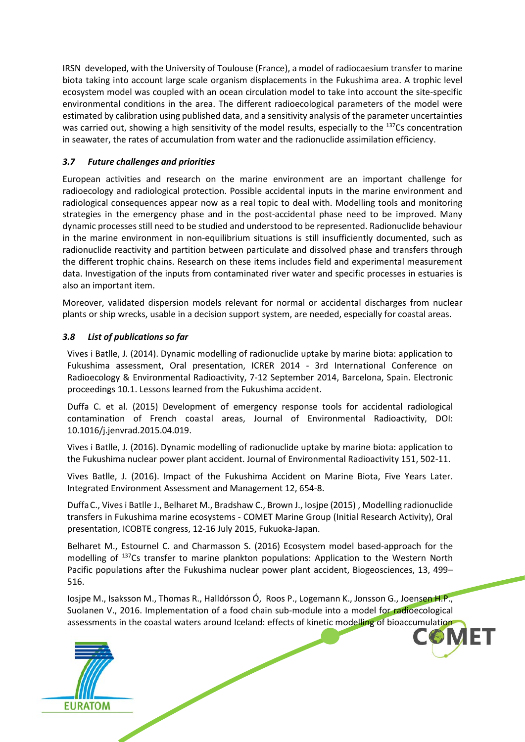IRSN developed, with the University of Toulouse (France), a model of radiocaesium transfer to marine biota taking into account large scale organism displacements in the Fukushima area. A trophic level ecosystem model was coupled with an ocean circulation model to take into account the site-specific environmental conditions in the area. The different radioecological parameters of the model were estimated by calibration using published data, and a sensitivity analysis of the parameter uncertainties was carried out, showing a high sensitivity of the model results, especially to the <sup>137</sup>Cs concentration in seawater, the rates of accumulation from water and the radionuclide assimilation efficiency.

### <span id="page-10-0"></span>*3.7 Future challenges and priorities*

European activities and research on the marine environment are an important challenge for radioecology and radiological protection. Possible accidental inputs in the marine environment and radiological consequences appear now as a real topic to deal with. Modelling tools and monitoring strategies in the emergency phase and in the post-accidental phase need to be improved. Many dynamic processes still need to be studied and understood to be represented. Radionuclide behaviour in the marine environment in non-equilibrium situations is still insufficiently documented, such as radionuclide reactivity and partition between particulate and dissolved phase and transfers through the different trophic chains. Research on these items includes field and experimental measurement data. Investigation of the inputs from contaminated river water and specific processes in estuaries is also an important item.

Moreover, validated dispersion models relevant for normal or accidental discharges from nuclear plants or ship wrecks, usable in a decision support system, are needed, especially for coastal areas.

### <span id="page-10-1"></span>*3.8 List of publications so far*

Vives i Batlle, J. (2014). Dynamic modelling of radionuclide uptake by marine biota: application to Fukushima assessment, Oral presentation, ICRER 2014 - 3rd International Conference on Radioecology & Environmental Radioactivity, 7-12 September 2014, Barcelona, Spain. Electronic proceedings 10.1. Lessons learned from the Fukushima accident.

Duffa C. et al. (2015) Development of emergency response tools for accidental radiological contamination of French coastal areas, Journal of Environmental Radioactivity, DOI: 10.1016/j.jenvrad.2015.04.019.

Vives i Batlle, J. (2016). Dynamic modelling of radionuclide uptake by marine biota: application to the Fukushima nuclear power plant accident. Journal of Environmental Radioactivity 151, 502-11.

Vives Batlle, J. (2016). Impact of the Fukushima Accident on Marine Biota, Five Years Later. Integrated Environment Assessment and Management 12, 654-8.

DuffaC., Vives i Batlle. J., Belharet M., Bradshaw C., Brown J., Iosjpe (2015) , Modelling radionuclide transfers in Fukushima marine ecosystems - COMET Marine Group (Initial Research Activity), Oral presentation, ICOBTE congress, 12-16 July 2015, Fukuoka-Japan.

Belharet M., Estournel C. and Charmasson S. (2016) Ecosystem model based-approach for the modelling of 137Cs transfer to marine plankton populations: Application to the Western North Pacific populations after the Fukushima nuclear power plant accident, Biogeosciences, 13, 499– 516.

 $\overline{\phantom{a}}$ Iosjpe M., Isaksson M., Thomas R., Halldórsson Ó, Roos P., Logemann K., Jonsson G., Joensen H.P., Suolanen V., 2016. Implementation of a food chain sub-module into a model for radioecological assessments in the coastal waters around Iceland: effects of kinetic modelling of bioaccumulation

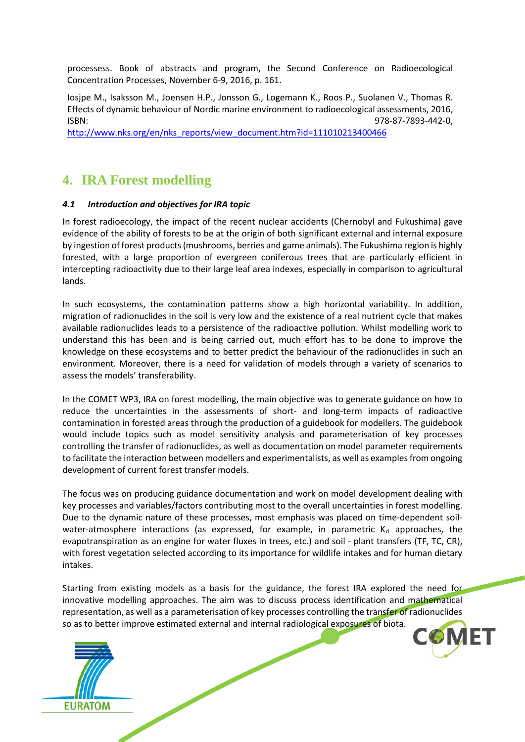processess. Book of abstracts and program, the Second Conference on Radioecological Concentration Processes, November 6-9, 2016, p. 161.

Iosjpe M., Isaksson M., Joensen H.P., Jonsson G., Logemann K., Roos P., Suolanen V., Thomas R. Effects of dynamic behaviour of Nordic marine environment to radioecological assessments, 2016, ISBN: 978-87-7893-442-0,

[http://www.nks.org/en/nks\\_reports/view\\_document.htm?id=111010213400466](http://www.nks.org/en/nks_reports/view_document.htm?id=111010213400466)

### <span id="page-11-0"></span>**4. IRA Forest modelling**

#### <span id="page-11-1"></span>*4.1 Introduction and objectives for IRA topic*

In forest radioecology, the impact of the recent nuclear accidents (Chernobyl and Fukushima) gave evidence of the ability of forests to be at the origin of both significant external and internal exposure by ingestion of forest products (mushrooms, berries and game animals). The Fukushima region is highly forested, with a large proportion of evergreen coniferous trees that are particularly efficient in intercepting radioactivity due to their large leaf area indexes, especially in comparison to agricultural lands.

In such ecosystems, the contamination patterns show a high horizontal variability. In addition, migration of radionuclides in the soil is very low and the existence of a real nutrient cycle that makes available radionuclides leads to a persistence of the radioactive pollution. Whilst modelling work to understand this has been and is being carried out, much effort has to be done to improve the knowledge on these ecosystems and to better predict the behaviour of the radionuclides in such an environment. Moreover, there is a need for validation of models through a variety of scenarios to assess the models' transferability.

In the COMET WP3, IRA on forest modelling, the main objective was to generate guidance on how to reduce the uncertainties in the assessments of short- and long-term impacts of radioactive contamination in forested areas through the production of a guidebook for modellers. The guidebook would include topics such as model sensitivity analysis and parameterisation of key processes controlling the transfer of radionuclides, as well as documentation on model parameter requirements to facilitate the interaction between modellers and experimentalists, as well as examples from ongoing development of current forest transfer models.

The focus was on producing guidance documentation and work on model development dealing with key processes and variables/factors contributing most to the overall uncertainties in forest modelling. Due to the dynamic nature of these processes, most emphasis was placed on time-dependent soilwater-atmosphere interactions (as expressed, for example, in parametric  $K_d$  approaches, the evapotranspiration as an engine for water fluxes in trees, etc.) and soil - plant transfers (TF, TC, CR), with forest vegetation selected according to its importance for wildlife intakes and for human dietary intakes.

 $\overline{a}$ Starting from existing models as a basis for the guidance, the forest IRA explored the need for innovative modelling approaches. The aim was to discuss process identification and mathematical representation, as well as a parameterisation of key processes controlling the transfer of radionuclides so as to better improve estimated external and internal radiological exposures of biota.

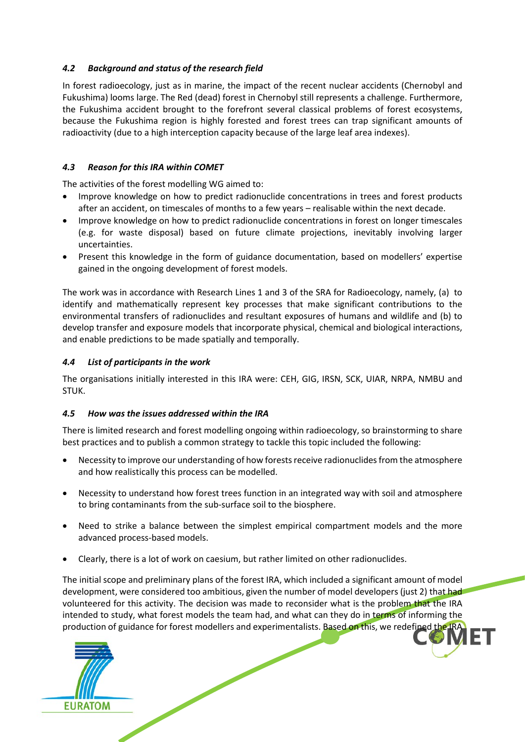### <span id="page-12-0"></span>*4.2 Background and status of the research field*

In forest radioecology, just as in marine, the impact of the recent nuclear accidents (Chernobyl and Fukushima) looms large. The Red (dead) forest in Chernobyl still represents a challenge. Furthermore, the Fukushima accident brought to the forefront several classical problems of forest ecosystems, because the Fukushima region is highly forested and forest trees can trap significant amounts of radioactivity (due to a high interception capacity because of the large leaf area indexes).

### <span id="page-12-1"></span>*4.3 Reason for this IRA within COMET*

The activities of the forest modelling WG aimed to:

- Improve knowledge on how to predict radionuclide concentrations in trees and forest products after an accident, on timescales of months to a few years – realisable within the next decade.
- Improve knowledge on how to predict radionuclide concentrations in forest on longer timescales (e.g. for waste disposal) based on future climate projections, inevitably involving larger uncertainties.
- Present this knowledge in the form of guidance documentation, based on modellers' expertise gained in the ongoing development of forest models.

The work was in accordance with Research Lines 1 and 3 of the SRA for Radioecology, namely, (a) to identify and mathematically represent key processes that make significant contributions to the environmental transfers of radionuclides and resultant exposures of humans and wildlife and (b) to develop transfer and exposure models that incorporate physical, chemical and biological interactions, and enable predictions to be made spatially and temporally.

### <span id="page-12-2"></span>*4.4 List of participants in the work*

The organisations initially interested in this IRA were: CEH, GIG, IRSN, SCK, UIAR, NRPA, NMBU and STUK.

### <span id="page-12-3"></span>*4.5 How was the issues addressed within the IRA*

There is limited research and forest modelling ongoing within radioecology, so brainstorming to share best practices and to publish a common strategy to tackle this topic included the following:

- Necessity to improve our understanding of how forests receive radionuclides from the atmosphere and how realistically this process can be modelled.
- Necessity to understand how forest trees function in an integrated way with soil and atmosphere to bring contaminants from the sub-surface soil to the biosphere.
- Need to strike a balance between the simplest empirical compartment models and the more advanced process-based models.
- Clearly, there is a lot of work on caesium, but rather limited on other radionuclides.

production of guidance for forest modellers and experimentalists. Based on this, we redefined the IRA The initial scope and preliminary plans of the forest IRA, which included a significant amount of model development, were considered too ambitious, given the number of model developers (just 2) that had volunteered for this activity. The decision was made to reconsider what is the problem that the IRA intended to study, what forest models the team had, and what can they do in terms of informing the

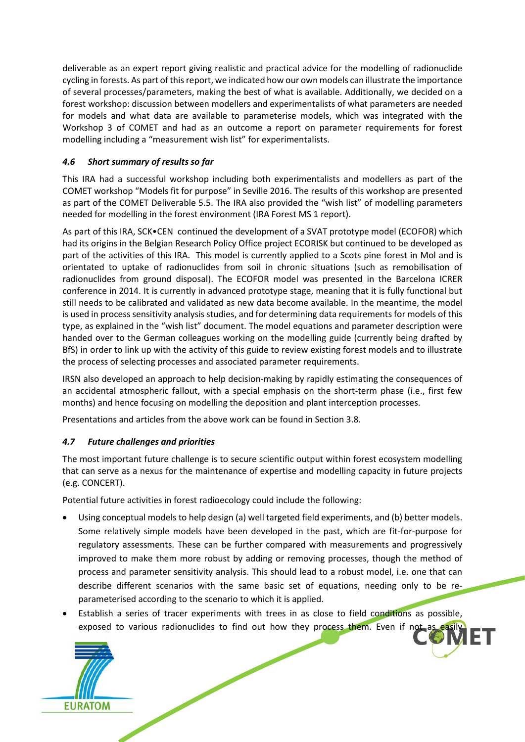deliverable as an expert report giving realistic and practical advice for the modelling of radionuclide cycling in forests. As part of this report, we indicated how our own models can illustrate the importance of several processes/parameters, making the best of what is available. Additionally, we decided on a forest workshop: discussion between modellers and experimentalists of what parameters are needed for models and what data are available to parameterise models, which was integrated with the Workshop 3 of COMET and had as an outcome a report on parameter requirements for forest modelling including a "measurement wish list" for experimentalists.

### <span id="page-13-0"></span>*4.6 Short summary of results so far*

This IRA had a successful workshop including both experimentalists and modellers as part of the COMET workshop "Models fit for purpose" in Seville 2016. The results of this workshop are presented as part of the COMET Deliverable 5.5. The IRA also provided the "wish list" of modelling parameters needed for modelling in the forest environment (IRA Forest MS 1 report).

As part of this IRA, SCK•CEN continued the development of a SVAT prototype model (ECOFOR) which had its origins in the Belgian Research Policy Office project ECORISK but continued to be developed as part of the activities of this IRA. This model is currently applied to a Scots pine forest in Mol and is orientated to uptake of radionuclides from soil in chronic situations (such as remobilisation of radionuclides from ground disposal). The ECOFOR model was presented in the Barcelona ICRER conference in 2014. It is currently in advanced prototype stage, meaning that it is fully functional but still needs to be calibrated and validated as new data become available. In the meantime, the model is used in process sensitivity analysis studies, and for determining data requirements for models of this type, as explained in the "wish list" document. The model equations and parameter description were handed over to the German colleagues working on the modelling guide (currently being drafted by BfS) in order to link up with the activity of this guide to review existing forest models and to illustrate the process of selecting processes and associated parameter requirements.

IRSN also developed an approach to help decision-making by rapidly estimating the consequences of an accidental atmospheric fallout, with a special emphasis on the short-term phase (i.e., first few months) and hence focusing on modelling the deposition and plant interception processes.

Presentations and articles from the above work can be found in Section 3.8.

### <span id="page-13-1"></span>*4.7 Future challenges and priorities*

The most important future challenge is to secure scientific output within forest ecosystem modelling that can serve as a nexus for the maintenance of expertise and modelling capacity in future projects (e.g. CONCERT).

Potential future activities in forest radioecology could include the following:

- Using conceptual models to help design (a) well targeted field experiments, and (b) better models. Some relatively simple models have been developed in the past, which are fit-for-purpose for regulatory assessments. These can be further compared with measurements and progressively improved to make them more robust by adding or removing processes, though the method of process and parameter sensitivity analysis. This should lead to a robust model, i.e. one that can describe different scenarios with the same basic set of equations, needing only to be reparameterised according to the scenario to which it is applied.
- ily Establish a series of tracer experiments with trees in as close to field conditions as possible, exposed to various radionuclides to find out how they process them. Even if not as

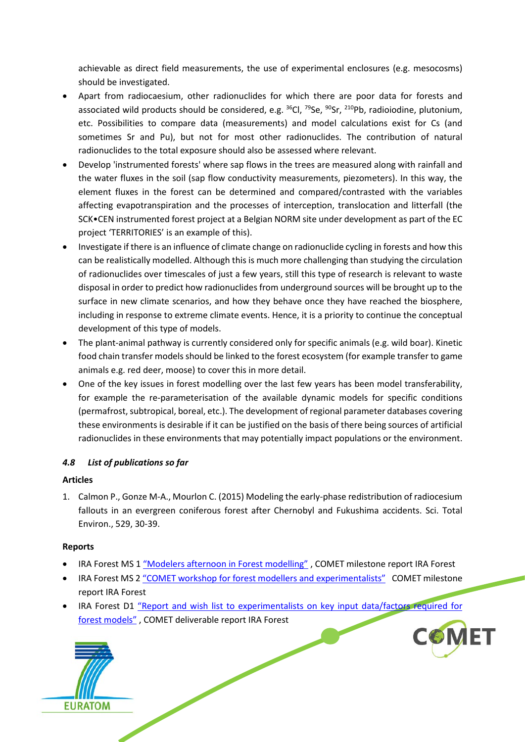achievable as direct field measurements, the use of experimental enclosures (e.g. mesocosms) should be investigated.

- Apart from radiocaesium, other radionuclides for which there are poor data for forests and associated wild products should be considered, e.g.  $^{36}$ Cl,  $^{79}$ Se,  $^{90}$ Sr,  $^{210}$ Pb, radioiodine, plutonium, etc. Possibilities to compare data (measurements) and model calculations exist for Cs (and sometimes Sr and Pu), but not for most other radionuclides. The contribution of natural radionuclides to the total exposure should also be assessed where relevant.
- Develop 'instrumented forests' where sap flows in the trees are measured along with rainfall and the water fluxes in the soil (sap flow conductivity measurements, piezometers). In this way, the element fluxes in the forest can be determined and compared/contrasted with the variables affecting evapotranspiration and the processes of interception, translocation and litterfall (the SCK•CEN instrumented forest project at a Belgian NORM site under development as part of the EC project 'TERRITORIES' is an example of this).
- Investigate if there is an influence of climate change on radionuclide cycling in forests and how this can be realistically modelled. Although this is much more challenging than studying the circulation of radionuclides over timescales of just a few years, still this type of research is relevant to waste disposal in order to predict how radionuclides from underground sources will be brought up to the surface in new climate scenarios, and how they behave once they have reached the biosphere, including in response to extreme climate events. Hence, it is a priority to continue the conceptual development of this type of models.
- The plant-animal pathway is currently considered only for specific animals (e.g. wild boar). Kinetic food chain transfer models should be linked to the forest ecosystem (for example transfer to game animals e.g. red deer, moose) to cover this in more detail.
- One of the key issues in forest modelling over the last few years has been model transferability, for example the re-parameterisation of the available dynamic models for specific conditions (permafrost, subtropical, boreal, etc.). The development of regional parameter databases covering these environments is desirable if it can be justified on the basis of there being sources of artificial radionuclides in these environments that may potentially impact populations or the environment.

### <span id="page-14-0"></span>*4.8 List of publications so far*

### **Articles**

1. Calmon P., Gonze M-A., Mourlon C. (2015) Modeling the early-phase redistribution of radiocesium fallouts in an evergreen coniferous forest after Chernobyl and Fukushima accidents. Sci. Total Environ., 529, 30-39.

### **Reports**

- IRA Forest MS 1 ["Modelers afternoon in Forest modelling"](https://extranet.sckcen.be/sites/comet/Lists/Milestones/Attachments/89/COMET_Milestone_IRA_FOREST_M1.pdf), COMET milestone report IRA Forest
- IRA Forest MS 2 ["COMET workshop for forest modellers and experimentalists"](https://extranet.sckcen.be/sites/comet/Lists/Milestones/Attachments/90/Milestone%20MS2%20COMET%20IRA%20Forest.pdf) COMET milestone report IRA Forest
- IRA Forest D1 "Report and wish list to experimentalists on key input data/factors required for [forest models"](https://extranet.sckcen.be/sites/comet/_layouts/15/listform.aspx?PageType=4&ListId=%7BF190353A%2DD039%2D4BD2%2DB76B%2DC3A2E5CA7763%7D&ID=39&ContentTypeID=0x010800B7AE4FF7F49E1D4FAD17DAB69D625C1A) , COMET deliverable report IRA Forest



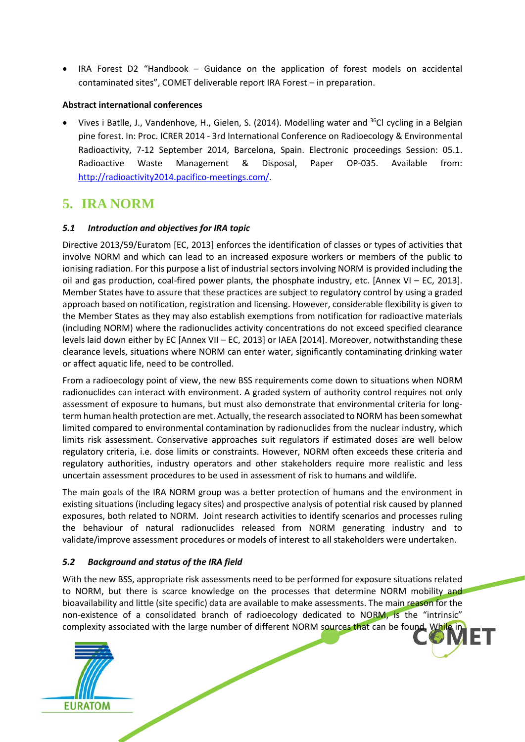• IRA Forest D2 "Handbook – Guidance on the application of forest models on accidental contaminated sites", COMET deliverable report IRA Forest – in preparation.

### **Abstract international conferences**

• Vives i Batlle, J., Vandenhove, H., Gielen, S. (2014). Modelling water and 36Cl cycling in a Belgian pine forest. In: Proc. ICRER 2014 - 3rd International Conference on Radioecology & Environmental Radioactivity, 7-12 September 2014, Barcelona, Spain. Electronic proceedings Session: 05.1. Radioactive Waste Management & Disposal, Paper OP-035. Available from: [http://radioactivity2014.pacifico-meetings.com/.](http://radioactivity2014.pacifico-meetings.com/)

### <span id="page-15-0"></span>**5. IRA NORM**

### <span id="page-15-1"></span>*5.1 Introduction and objectives for IRA topic*

Directive 2013/59/Euratom [EC, 2013] enforces the identification of classes or types of activities that involve NORM and which can lead to an increased exposure workers or members of the public to ionising radiation. For this purpose a list of industrial sectors involving NORM is provided including the oil and gas production, coal-fired power plants, the phosphate industry, etc. [Annex VI – EC, 2013]. Member States have to assure that these practices are subject to regulatory control by using a graded approach based on notification, registration and licensing. However, considerable flexibility is given to the Member States as they may also establish exemptions from notification for radioactive materials (including NORM) where the radionuclides activity concentrations do not exceed specified clearance levels laid down either by EC [Annex VII – EC, 2013] or IAEA [2014]. Moreover, notwithstanding these clearance levels, situations where NORM can enter water, significantly contaminating drinking water or affect aquatic life, need to be controlled.

From a radioecology point of view, the new BSS requirements come down to situations when NORM radionuclides can interact with environment. A graded system of authority control requires not only assessment of exposure to humans, but must also demonstrate that environmental criteria for longterm human health protection are met. Actually, the research associated to NORM has been somewhat limited compared to environmental contamination by radionuclides from the nuclear industry, which limits risk assessment. Conservative approaches suit regulators if estimated doses are well below regulatory criteria, i.e. dose limits or constraints. However, NORM often exceeds these criteria and regulatory authorities, industry operators and other stakeholders require more realistic and less uncertain assessment procedures to be used in assessment of risk to humans and wildlife.

The main goals of the IRA NORM group was a better protection of humans and the environment in existing situations (including legacy sites) and prospective analysis of potential risk caused by planned exposures, both related to NORM. Joint research activities to identify scenarios and processes ruling the behaviour of natural radionuclides released from NORM generating industry and to validate/improve assessment procedures or models of interest to all stakeholders were undertaken.

### <span id="page-15-2"></span>*5.2 Background and status of the IRA field*

complexity associated with the large number of different NORM sources that can be found. While in With the new BSS, appropriate risk assessments need to be performed for exposure situations related to NORM, but there is scarce knowledge on the processes that determine NORM mobility and bioavailability and little (site specific) data are available to make assessments. The main reason for the non-existence of a consolidated branch of radioecology dedicated to NORM, is the "intrinsic"

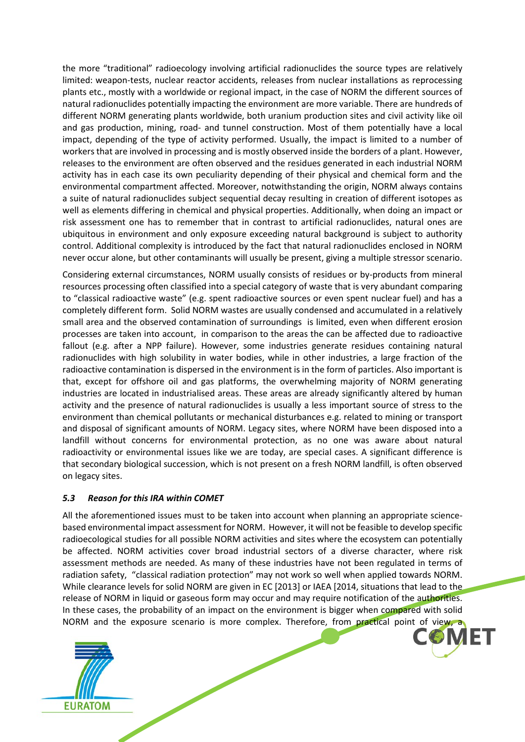the more "traditional" radioecology involving artificial radionuclides the source types are relatively limited: weapon-tests, nuclear reactor accidents, releases from nuclear installations as reprocessing plants etc., mostly with a worldwide or regional impact, in the case of NORM the different sources of natural radionuclides potentially impacting the environment are more variable. There are hundreds of different NORM generating plants worldwide, both uranium production sites and civil activity like oil and gas production, mining, road- and tunnel construction. Most of them potentially have a local impact, depending of the type of activity performed. Usually, the impact is limited to a number of workers that are involved in processing and is mostly observed inside the borders of a plant. However, releases to the environment are often observed and the residues generated in each industrial NORM activity has in each case its own peculiarity depending of their physical and chemical form and the environmental compartment affected. Moreover, notwithstanding the origin, NORM always contains a suite of natural radionuclides subject sequential decay resulting in creation of different isotopes as well as elements differing in chemical and physical properties. Additionally, when doing an impact or risk assessment one has to remember that in contrast to artificial radionuclides, natural ones are ubiquitous in environment and only exposure exceeding natural background is subject to authority control. Additional complexity is introduced by the fact that natural radionuclides enclosed in NORM never occur alone, but other contaminants will usually be present, giving a multiple stressor scenario.

Considering external circumstances, NORM usually consists of residues or by-products from mineral resources processing often classified into a special category of waste that is very abundant comparing to "classical radioactive waste" (e.g. spent radioactive sources or even spent nuclear fuel) and has a completely different form. Solid NORM wastes are usually condensed and accumulated in a relatively small area and the observed contamination of surroundings is limited, even when different erosion processes are taken into account, in comparison to the areas the can be affected due to radioactive fallout (e.g. after a NPP failure). However, some industries generate residues containing natural radionuclides with high solubility in water bodies, while in other industries, a large fraction of the radioactive contamination is dispersed in the environment is in the form of particles. Also important is that, except for offshore oil and gas platforms, the overwhelming majority of NORM generating industries are located in industrialised areas. These areas are already significantly altered by human activity and the presence of natural radionuclides is usually a less important source of stress to the environment than chemical pollutants or mechanical disturbances e.g. related to mining or transport and disposal of significant amounts of NORM. Legacy sites, where NORM have been disposed into a landfill without concerns for environmental protection, as no one was aware about natural radioactivity or environmental issues like we are today, are special cases. A significant difference is that secondary biological succession, which is not present on a fresh NORM landfill, is often observed on legacy sites.

### <span id="page-16-0"></span>*5.3 Reason for this IRA within COMET*

NORM and the exposure scenario is more complex. Therefore, from practical point of view, a All the aforementioned issues must to be taken into account when planning an appropriate sciencebased environmental impact assessment for NORM. However, it will not be feasible to develop specific radioecological studies for all possible NORM activities and sites where the ecosystem can potentially be affected. NORM activities cover broad industrial sectors of a diverse character, where risk assessment methods are needed. As many of these industries have not been regulated in terms of radiation safety, "classical radiation protection" may not work so well when applied towards NORM. While clearance levels for solid NORM are given in EC [2013] or IAEA [2014, situations that lead to the release of NORM in liquid or gaseous form may occur and may require notification of the authorities. In these cases, the probability of an impact on the environment is bigger when compared with solid



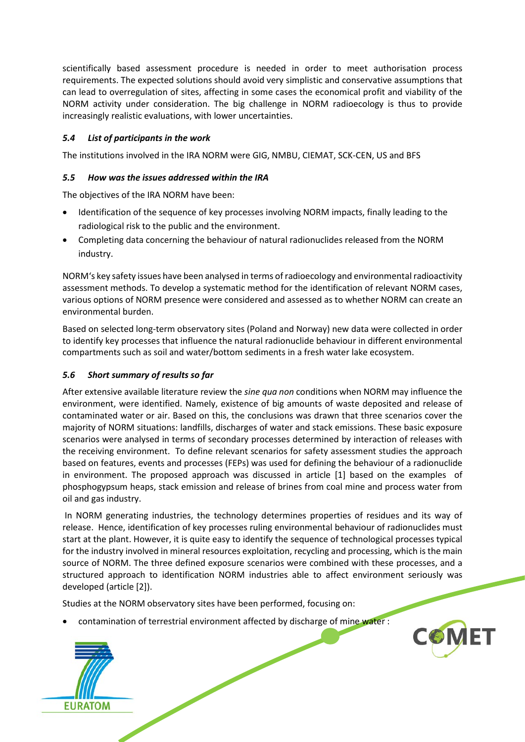scientifically based assessment procedure is needed in order to meet authorisation process requirements. The expected solutions should avoid very simplistic and conservative assumptions that can lead to overregulation of sites, affecting in some cases the economical profit and viability of the NORM activity under consideration. The big challenge in NORM radioecology is thus to provide increasingly realistic evaluations, with lower uncertainties.

### <span id="page-17-0"></span>*5.4 List of participants in the work*

<span id="page-17-1"></span>The institutions involved in the IRA NORM were GIG, NMBU, CIEMAT, SCK-CEN, US and BFS

### *5.5 How was the issues addressed within the IRA*

The objectives of the IRA NORM have been:

- Identification of the sequence of key processes involving NORM impacts, finally leading to the radiological risk to the public and the environment.
- Completing data concerning the behaviour of natural radionuclides released from the NORM industry.

NORM's key safety issues have been analysed in terms of radioecology and environmental radioactivity assessment methods. To develop a systematic method for the identification of relevant NORM cases, various options of NORM presence were considered and assessed as to whether NORM can create an environmental burden.

Based on selected long-term observatory sites (Poland and Norway) new data were collected in order to identify key processes that influence the natural radionuclide behaviour in different environmental compartments such as soil and water/bottom sediments in a fresh water lake ecosystem.

### <span id="page-17-2"></span>*5.6 Short summary of results so far*

After extensive available literature review the *sine qua non* conditions when NORM may influence the environment, were identified. Namely, existence of big amounts of waste deposited and release of contaminated water or air. Based on this, the conclusions was drawn that three scenarios cover the majority of NORM situations: landfills, discharges of water and stack emissions. These basic exposure scenarios were analysed in terms of secondary processes determined by interaction of releases with the receiving environment. To define relevant scenarios for safety assessment studies the approach based on features, events and processes (FEPs) was used for defining the behaviour of a radionuclide in environment. The proposed approach was discussed in article [1] based on the examples of phosphogypsum heaps, stack emission and release of brines from coal mine and process water from oil and gas industry.

In NORM generating industries, the technology determines properties of residues and its way of release. Hence, identification of key processes ruling environmental behaviour of radionuclides must start at the plant. However, it is quite easy to identify the sequence of technological processes typical for the industry involved in mineral resources exploitation, recycling and processing, which is the main source of NORM. The three defined exposure scenarios were combined with these processes, and a structured approach to identification NORM industries able to affect environment seriously was developed (article [2]).

Studies at the NORM observatory sites have been performed, focusing on:

contamination of terrestrial environment affected by discharge of mine water :



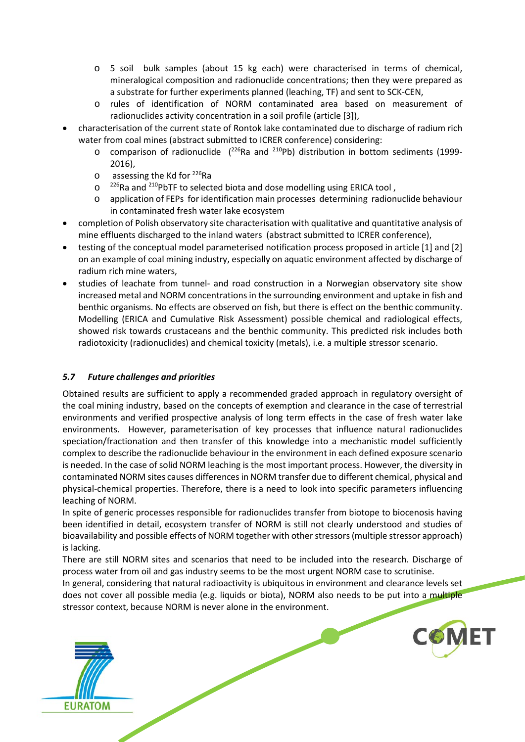- o 5 soil bulk samples (about 15 kg each) were characterised in terms of chemical, mineralogical composition and radionuclide concentrations; then they were prepared as a substrate for further experiments planned (leaching, TF) and sent to SCK-CEN,
- o rules of identification of NORM contaminated area based on measurement of radionuclides activity concentration in a soil profile (article [3]),
- characterisation of the current state of Rontok lake contaminated due to discharge of radium rich water from coal mines (abstract submitted to ICRER conference) considering:
	- $\circ$  comparison of radionuclide ( $^{226}$ Ra and  $^{210}$ Pb) distribution in bottom sediments (1999-2016),
	- $\circ$  assessing the Kd for <sup>226</sup>Ra
	- o <sup>226</sup>Ra and <sup>210</sup>PbTF to selected biota and dose modelling using ERICA tool,
	- o application of FEPs for identification main processes determining radionuclide behaviour in contaminated fresh water lake ecosystem
- completion of Polish observatory site characterisation with qualitative and quantitative analysis of mine effluents discharged to the inland waters (abstract submitted to ICRER conference),
- testing of the conceptual model parameterised notification process proposed in article [1] and [2] on an example of coal mining industry, especially on aquatic environment affected by discharge of radium rich mine waters,
- studies of leachate from tunnel- and road construction in a Norwegian observatory site show increased metal and NORM concentrations in the surrounding environment and uptake in fish and benthic organisms. No effects are observed on fish, but there is effect on the benthic community. Modelling (ERICA and Cumulative Risk Assessment) possible chemical and radiological effects, showed risk towards crustaceans and the benthic community. This predicted risk includes both radiotoxicity (radionuclides) and chemical toxicity (metals), i.e. a multiple stressor scenario.

### <span id="page-18-0"></span>*5.7 Future challenges and priorities*

Obtained results are sufficient to apply a recommended graded approach in regulatory oversight of the coal mining industry, based on the concepts of exemption and clearance in the case of terrestrial environments and verified prospective analysis of long term effects in the case of fresh water lake environments. However, parameterisation of key processes that influence natural radionuclides speciation/fractionation and then transfer of this knowledge into a mechanistic model sufficiently complex to describe the radionuclide behaviour in the environment in each defined exposure scenario is needed. In the case of solid NORM leaching is the most important process. However, the diversity in contaminated NORM sites causes differencesin NORM transfer due to different chemical, physical and physical-chemical properties. Therefore, there is a need to look into specific parameters influencing leaching of NORM.

In spite of generic processes responsible for radionuclides transfer from biotope to biocenosis having been identified in detail, ecosystem transfer of NORM is still not clearly understood and studies of bioavailability and possible effects of NORM together with other stressors (multiple stressor approach) is lacking.

There are still NORM sites and scenarios that need to be included into the research. Discharge of process water from oil and gas industry seems to be the most urgent NORM case to scrutinise.

In general, considering that natural radioactivity is ubiquitous in environment and clearance levels set does not cover all possible media (e.g. liquids or biota), NORM also needs to be put into a multiple stressor context, because NORM is never alone in the environment.



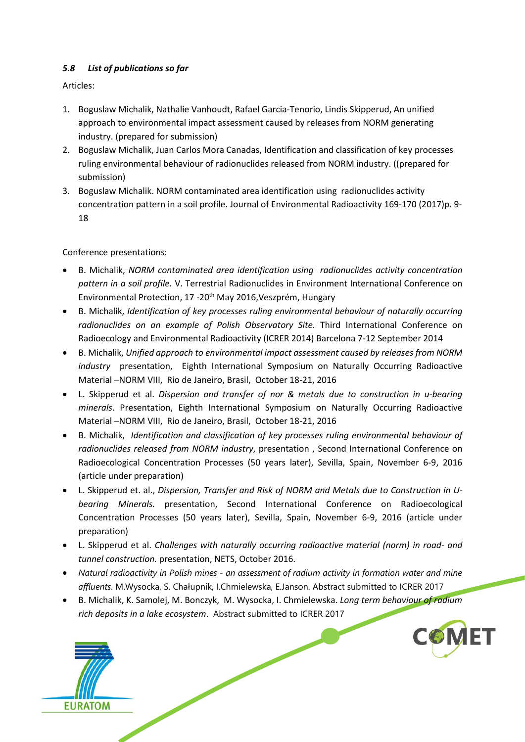### <span id="page-19-0"></span>*5.8 List of publications so far*

Articles:

- 1. Boguslaw Michalik, Nathalie Vanhoudt, Rafael Garcia-Tenorio, Lindis Skipperud, An unified approach to environmental impact assessment caused by releases from NORM generating industry. (prepared for submission)
- 2. Boguslaw Michalik, Juan Carlos Mora Canadas, Identification and classification of key processes ruling environmental behaviour of radionuclides released from NORM industry. ((prepared for submission)
- 3. Boguslaw Michalik. NORM contaminated area identification using radionuclides activity concentration pattern in a soil profile. Journal of Environmental Radioactivity 169-170 (2017)p. 9- 18

Conference presentations:

- B. Michalik, *NORM contaminated area identification using radionuclides activity concentration pattern in a soil profile.* V. Terrestrial Radionuclides in Environment International Conference on Environmental Protection, 17 -20<sup>th</sup> May 2016, Veszprém, Hungary
- B. Michalik, *Identification of key processes ruling environmental behaviour of naturally occurring*  radionuclides on an example of Polish Observatory Site. Third International Conference on Radioecology and Environmental Radioactivity (ICRER 2014) Barcelona 7-12 September 2014
- B. Michalik, *Unified approach to environmental impact assessment caused by releases from NORM industry* presentation, Eighth International Symposium on Naturally Occurring Radioactive Material –NORM VIII, Rio de Janeiro, Brasil, October 18-21, 2016
- L. Skipperud et al. *Dispersion and transfer of nor & metals due to construction in u-bearing minerals*. Presentation, Eighth International Symposium on Naturally Occurring Radioactive Material –NORM VIII, Rio de Janeiro, Brasil, October 18-21, 2016
- B. Michalik, *Identification and classification of key processes ruling environmental behaviour of radionuclides released from NORM industry*, presentation , Second International Conference on Radioecological Concentration Processes (50 years later), Sevilla, Spain, November 6-9, 2016 (article under preparation)
- L. Skipperud et. al., *Dispersion, Transfer and Risk of NORM and Metals due to Construction in Ubearing Minerals.* presentation, Second International Conference on Radioecological Concentration Processes (50 years later), Sevilla, Spain, November 6-9, 2016 (article under preparation)
- L. Skipperud et al. *Challenges with naturally occurring radioactive material (norm) in road- and tunnel construction.* presentation, NETS, October 2016.
- *Natural radioactivity in Polish mines - an assessment of radium activity in formation water and mine affluents*. M.Wysocka, S. Chałupnik, I.Chmielewska, E.Janson. Abstract submitted to ICRER 2017
- B. Michalik, K. Samolej, M. Bonczyk, M. Wysocka, I. Chmielewska. *Long term behaviour of radium rich deposits in a lake ecosystem*. Abstract submitted to ICRER 2017



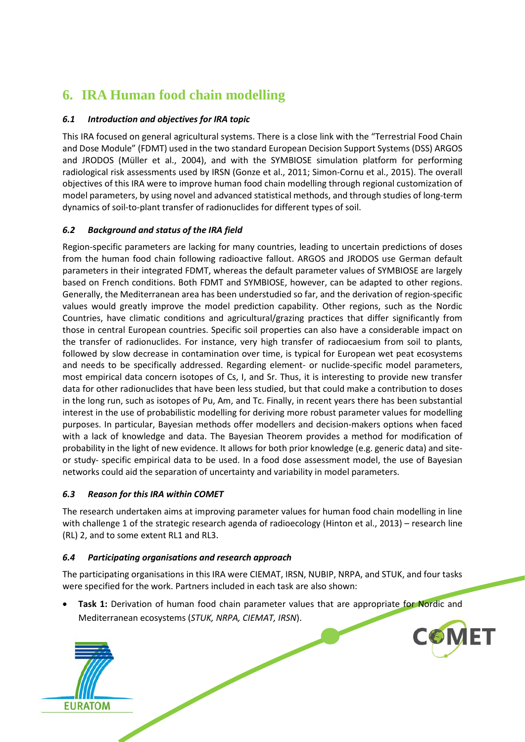## <span id="page-20-0"></span>**6. IRA Human food chain modelling**

### <span id="page-20-1"></span>*6.1 Introduction and objectives for IRA topic*

This IRA focused on general agricultural systems. There is a close link with the "Terrestrial Food Chain and Dose Module" (FDMT) used in the two standard European Decision Support Systems (DSS) ARGOS and JRODOS (Müller et al., 2004), and with the SYMBIOSE simulation platform for performing radiological risk assessments used by IRSN (Gonze et al., 2011; Simon-Cornu et al., 2015). The overall objectives of this IRA were to improve human food chain modelling through regional customization of model parameters, by using novel and advanced statistical methods, and through studies of long-term dynamics of soil-to-plant transfer of radionuclides for different types of soil.

### <span id="page-20-2"></span>*6.2 Background and status of the IRA field*

Region-specific parameters are lacking for many countries, leading to uncertain predictions of doses from the human food chain following radioactive fallout. ARGOS and JRODOS use German default parameters in their integrated FDMT, whereas the default parameter values of SYMBIOSE are largely based on French conditions. Both FDMT and SYMBIOSE, however, can be adapted to other regions. Generally, the Mediterranean area has been understudied so far, and the derivation of region-specific values would greatly improve the model prediction capability. Other regions, such as the Nordic Countries, have climatic conditions and agricultural/grazing practices that differ significantly from those in central European countries. Specific soil properties can also have a considerable impact on the transfer of radionuclides. For instance, very high transfer of radiocaesium from soil to plants, followed by slow decrease in contamination over time, is typical for European wet peat ecosystems and needs to be specifically addressed. Regarding element- or nuclide-specific model parameters, most empirical data concern isotopes of Cs, I, and Sr. Thus, it is interesting to provide new transfer data for other radionuclides that have been less studied, but that could make a contribution to doses in the long run, such as isotopes of Pu, Am, and Tc. Finally, in recent years there has been substantial interest in the use of probabilistic modelling for deriving more robust parameter values for modelling purposes. In particular, Bayesian methods offer modellers and decision-makers options when faced with a lack of knowledge and data. The Bayesian Theorem provides a method for modification of probability in the light of new evidence. It allows for both prior knowledge (e.g. generic data) and siteor study- specific empirical data to be used. In a food dose assessment model, the use of Bayesian networks could aid the separation of uncertainty and variability in model parameters.

### <span id="page-20-3"></span>*6.3 Reason for this IRA within COMET*

The research undertaken aims at improving parameter values for human food chain modelling in line with challenge 1 of the strategic research agenda of radioecology (Hinton et al., 2013) – research line (RL) 2, and to some extent RL1 and RL3.

### <span id="page-20-4"></span>*6.4 Participating organisations and research approach*

The participating organisations in this IRA were CIEMAT, IRSN, NUBIP, NRPA, and STUK, and four tasks were specified for the work. Partners included in each task are also shown:

• **Task 1:** Derivation of human food chain parameter values that are appropriate for Nordic and Mediterranean ecosystems (*STUK, NRPA, CIEMAT, IRSN*).

**COMET** 

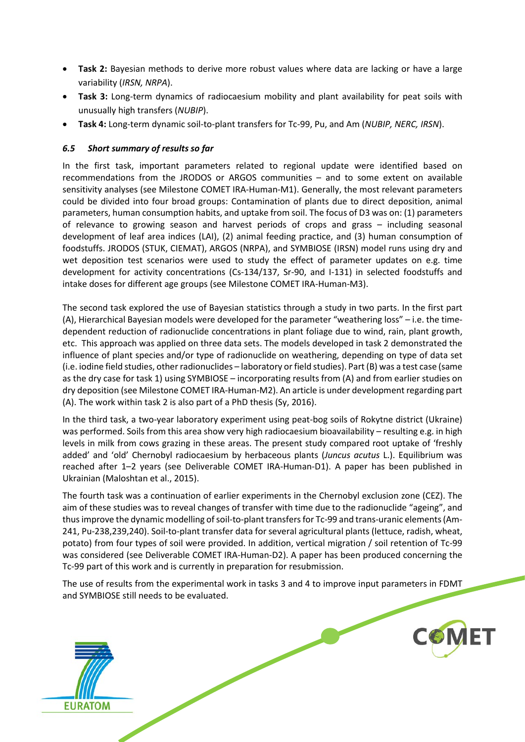- **Task 2:** Bayesian methods to derive more robust values where data are lacking or have a large variability (*IRSN, NRPA*).
- **Task 3:** Long-term dynamics of radiocaesium mobility and plant availability for peat soils with unusually high transfers (*NUBIP*).
- **Task 4:** Long-term dynamic soil-to-plant transfers for Tc-99, Pu, and Am (*NUBIP, NERC, IRSN*).

### <span id="page-21-0"></span>*6.5 Short summary of results so far*

**EURATOM** 

In the first task, important parameters related to regional update were identified based on recommendations from the JRODOS or ARGOS communities – and to some extent on available sensitivity analyses (see Milestone COMET IRA-Human-M1). Generally, the most relevant parameters could be divided into four broad groups: Contamination of plants due to direct deposition, animal parameters, human consumption habits, and uptake from soil. The focus of D3 was on: (1) parameters of relevance to growing season and harvest periods of crops and grass – including seasonal development of leaf area indices (LAI), (2) animal feeding practice, and (3) human consumption of foodstuffs. JRODOS (STUK, CIEMAT), ARGOS (NRPA), and SYMBIOSE (IRSN) model runs using dry and wet deposition test scenarios were used to study the effect of parameter updates on e.g. time development for activity concentrations (Cs-134/137, Sr-90, and I-131) in selected foodstuffs and intake doses for different age groups (see Milestone COMET IRA-Human-M3).

The second task explored the use of Bayesian statistics through a study in two parts. In the first part (A), Hierarchical Bayesian models were developed for the parameter "weathering loss" – i.e. the timedependent reduction of radionuclide concentrations in plant foliage due to wind, rain, plant growth, etc. This approach was applied on three data sets. The models developed in task 2 demonstrated the influence of plant species and/or type of radionuclide on weathering, depending on type of data set (i.e. iodine field studies, other radionuclides – laboratory or field studies). Part (B) was a test case (same as the dry case for task 1) using SYMBIOSE – incorporating results from (A) and from earlier studies on dry deposition (see Milestone COMET IRA-Human-M2). An article is under development regarding part (A). The work within task 2 is also part of a PhD thesis (Sy, 2016).

In the third task, a two-year laboratory experiment using peat-bog soils of Rokytne district (Ukraine) was performed. Soils from this area show very high radiocaesium bioavailability – resulting e.g. in high levels in milk from cows grazing in these areas. The present study compared root uptake of 'freshly added' and 'old' Chernobyl radiocaesium by herbaceous plants (*Juncus acutus* L.). Equilibrium was reached after 1–2 years (see Deliverable COMET IRA-Human-D1). A paper has been published in Ukrainian (Maloshtan et al., 2015).

The fourth task was a continuation of earlier experiments in the Chernobyl exclusion zone (CEZ). The aim of these studies was to reveal changes of transfer with time due to the radionuclide "ageing", and thus improve the dynamic modelling of soil-to-plant transfers for Tc-99 and trans-uranic elements (Am-241, Pu-238,239,240). Soil-to-plant transfer data for several agricultural plants (lettuce, radish, wheat, potato) from four types of soil were provided. In addition, vertical migration / soil retention of Tc-99 was considered (see Deliverable COMET IRA-Human-D2). A paper has been produced concerning the Tc-99 part of this work and is currently in preparation for resubmission.

The use of results from the experimental work in tasks 3 and 4 to improve input parameters in FDMT and SYMBIOSE still needs to be evaluated.

**COMFT**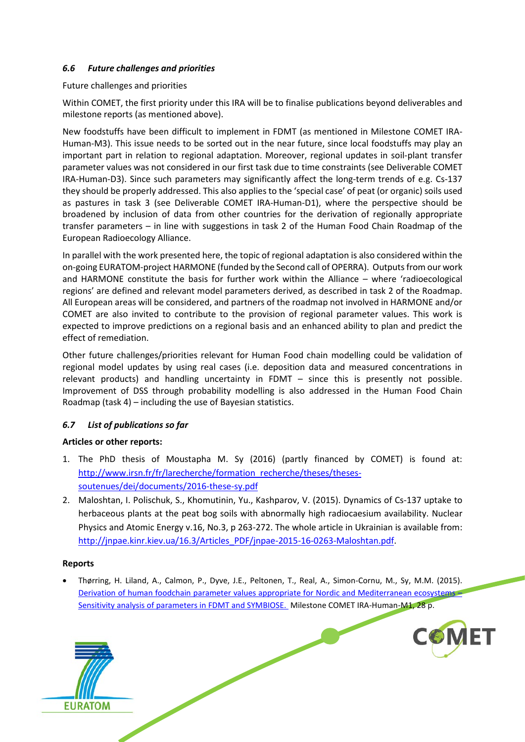### <span id="page-22-0"></span>*6.6 Future challenges and priorities*

Future challenges and priorities

Within COMET, the first priority under this IRA will be to finalise publications beyond deliverables and milestone reports (as mentioned above).

New foodstuffs have been difficult to implement in FDMT (as mentioned in Milestone COMET IRA-Human-M3). This issue needs to be sorted out in the near future, since local foodstuffs may play an important part in relation to regional adaptation. Moreover, regional updates in soil-plant transfer parameter values was not considered in our first task due to time constraints (see Deliverable COMET IRA-Human-D3). Since such parameters may significantly affect the long-term trends of e.g. Cs-137 they should be properly addressed. This also applies to the 'special case' of peat (or organic) soils used as pastures in task 3 (see Deliverable COMET IRA-Human-D1), where the perspective should be broadened by inclusion of data from other countries for the derivation of regionally appropriate transfer parameters – in line with suggestions in task 2 of the Human Food Chain Roadmap of the European Radioecology Alliance.

In parallel with the work presented here, the topic of regional adaptation is also considered within the on-going EURATOM-project HARMONE (funded by the Second call of OPERRA). Outputs from our work and HARMONE constitute the basis for further work within the Alliance – where 'radioecological regions' are defined and relevant model parameters derived, as described in task 2 of the Roadmap. All European areas will be considered, and partners of the roadmap not involved in HARMONE and/or COMET are also invited to contribute to the provision of regional parameter values. This work is expected to improve predictions on a regional basis and an enhanced ability to plan and predict the effect of remediation.

Other future challenges/priorities relevant for Human Food chain modelling could be validation of regional model updates by using real cases (i.e. deposition data and measured concentrations in relevant products) and handling uncertainty in FDMT – since this is presently not possible. Improvement of DSS through probability modelling is also addressed in the Human Food Chain Roadmap (task 4) – including the use of Bayesian statistics.

### <span id="page-22-1"></span>*6.7 List of publications so far*

### **Articles or other reports:**

- 1. The PhD thesis of Moustapha M. Sy (2016) (partly financed by COMET) is found at: [http://www.irsn.fr/fr/larecherche/formation\\_recherche/theses/theses](http://www.irsn.fr/fr/larecherche/formation_recherche/theses/theses-soutenues/dei/documents/2016-these-sy.pdf)[soutenues/dei/documents/2016-these-sy.pdf](http://www.irsn.fr/fr/larecherche/formation_recherche/theses/theses-soutenues/dei/documents/2016-these-sy.pdf)
- 2. Maloshtan, I. Polischuk, S., Khomutinin, Yu., Kashparov, V. (2015). Dynamics of Cs-137 uptake to herbaceous plants at the peat bog soils with abnormally high radiocaesium availability. Nuclear Physics and Atomic Energy v.16, No.3, p 263-272. The whole article in Ukrainian is available from: [http://jnpae.kinr.kiev.ua/16.3/Articles\\_PDF/jnpae-2015-16-0263-Maloshtan.pdf.](http://jnpae.kinr.kiev.ua/16.3/Articles_PDF/jnpae-2015-16-0263-Maloshtan.pdf)

### **Reports**

• Thørring, H. Liland, A., Calmon, P., Dyve, J.E., Peltonen, T., Real, A., Simon-Cornu, M., Sy, M.M. (2015). [Derivation of human foodchain parameter values appropriate for Nordic and Mediterranean ecosystems –](https://extranet.sckcen.be/sites/comet/Lists/Milestones/Attachments/86/COMET_IRA-Human-M1.pdf) [Sensitivity analysis of parameters in FDMT and SYMBIOSE.](https://extranet.sckcen.be/sites/comet/Lists/Milestones/Attachments/86/COMET_IRA-Human-M1.pdf) Milestone COMET IRA-Human-M1, 28 p.



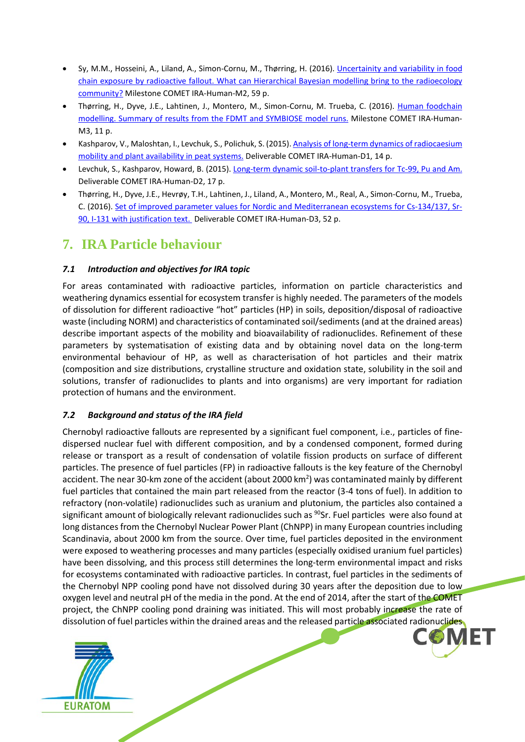- Sy, M.M., Hosseini, A., Liland, A., Simon-Cornu, M., Thørring, H. (2016). [Uncertainity and variability in food](https://extranet.sckcen.be/sites/comet/Lists/Milestones/Attachments/91/COMET%20Milestone%20Report%20MS%20IRA%20Human%20M2.pdf)  [chain exposure by radioactive fallout. What can Hierarchical Bayesian modelling bring to the radioecology](https://extranet.sckcen.be/sites/comet/Lists/Milestones/Attachments/91/COMET%20Milestone%20Report%20MS%20IRA%20Human%20M2.pdf)  [community?](https://extranet.sckcen.be/sites/comet/Lists/Milestones/Attachments/91/COMET%20Milestone%20Report%20MS%20IRA%20Human%20M2.pdf) Milestone COMET IRA-Human-M2, 59 p.
- Thørring, H., Dyve, J.E., Lahtinen, J., Montero, M., Simon-Cornu, M. Trueba, C. (2016). Human foodchain [modelling. Summary of results from the FDMT and SYMBIOSE model runs.](https://extranet.sckcen.be/sites/comet/Lists/Milestones/Attachments/92/IRA%20Human%20M3_final.pdf) Milestone COMET IRA-Human-M3, 11 p.
- Kashparov, V., Maloshtan, I., Levchuk, S., Polichuk, S. (2015). [Analysis of long-term dynamics of radiocaesium](https://extranet.sckcen.be/sites/comet/Lists/Deliverables/Attachments/42/COMET%20IRA-Human%20-D1.docx)  [mobility and plant availability in peat systems.](https://extranet.sckcen.be/sites/comet/Lists/Deliverables/Attachments/42/COMET%20IRA-Human%20-D1.docx) Deliverable COMET IRA-Human-D1, 14 p.
- Levchuk, S., Kashparov, Howard, B. (2015)[. Long-term dynamic soil-to-plant transfers for Tc-99, Pu and Am.](https://extranet.sckcen.be/sites/comet/Lists/Deliverables/Attachments/44/COMET%20IRA%20Human%20Food%20Chain%20D3.pdf) Deliverable COMET IRA-Human-D2, 17 p.
- Thørring, H., Dyve, J.E., Hevrøy, T.H., Lahtinen, J., Liland, A., Montero, M., Real, A., Simon-Cornu, M., Trueba, C. (2016)[. Set of improved parameter values for Nordic and Mediterranean ecosystems for Cs-134/137, Sr-](https://extranet.sckcen.be/sites/comet/_layouts/15/listform.aspx?PageType=4&ListId=%7BF190353A%2DD039%2D4BD2%2DB76B%2DC3A2E5CA7763%7D&ID=44&ContentTypeID=0x010800B7AE4FF7F49E1D4FAD17DAB69D625C1A)[90, I-131 with justification text.](https://extranet.sckcen.be/sites/comet/_layouts/15/listform.aspx?PageType=4&ListId=%7BF190353A%2DD039%2D4BD2%2DB76B%2DC3A2E5CA7763%7D&ID=44&ContentTypeID=0x010800B7AE4FF7F49E1D4FAD17DAB69D625C1A) Deliverable COMET IRA-Human-D3, 52 p.

### <span id="page-23-0"></span>**7. IRA Particle behaviour**

### <span id="page-23-1"></span>*7.1 Introduction and objectives for IRA topic*

For areas contaminated with radioactive particles, information on particle characteristics and weathering dynamics essential for ecosystem transfer is highly needed. The parameters of the models of dissolution for different radioactive "hot" particles (HP) in soils, deposition/disposal of radioactive waste (including NORM) and characteristics of contaminated soil/sediments (and at the drained areas) describe important aspects of the mobility and bioavailability of radionuclides. Refinement of these parameters by systematisation of existing data and by obtaining novel data on the long-term environmental behaviour of HP, as well as characterisation of hot particles and their matrix (composition and size distributions, crystalline structure and oxidation state, solubility in the soil and solutions, transfer of radionuclides to plants and into organisms) are very important for radiation protection of humans and the environment.

### <span id="page-23-2"></span>*7.2 Background and status of the IRA field*

dissolution of fuel particles within the drained areas and the released particle associated radionuclides Chernobyl radioactive fallouts are represented by a significant fuel component, i.e., particles of finedispersed nuclear fuel with different composition, and by a condensed component, formed during release or transport as a result of condensation of volatile fission products on surface of different particles. The presence of fuel particles (FP) in radioactive fallouts is the key feature of the Chernobyl accident. The near 30-km zone of the accident (about 2000 km<sup>2</sup>) was contaminated mainly by different fuel particles that contained the main part released from the reactor (3-4 tons of fuel). In addition to refractory (non-volatile) radionuclides such as uranium and plutonium, the particles also contained a significant amount of biologically relevant radionuclides such as <sup>90</sup>Sr. Fuel particles were also found at long distances from the Chernobyl Nuclear Power Plant (ChNPP) in many European countries including Scandinavia, about 2000 km from the source. Over time, fuel particles deposited in the environment were exposed to weathering processes and many particles (especially oxidised uranium fuel particles) have been dissolving, and this process still determines the long-term environmental impact and risks for ecosystems contaminated with radioactive particles. In contrast, fuel particles in the sediments of the Chernobyl NPP cooling pond have not dissolved during 30 years after the deposition due to low oxygen level and neutral pH of the media in the pond. At the end of 2014, after the start of the COMET project, the ChNPP cooling pond draining was initiated. This will most probably increase the rate of

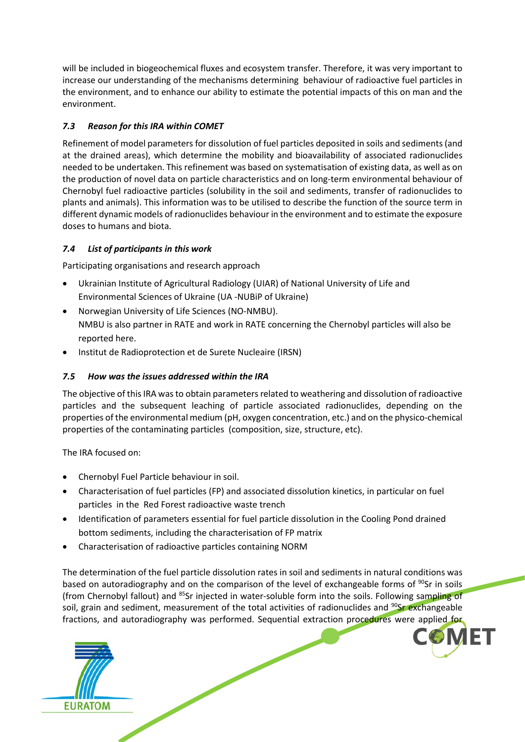will be included in biogeochemical fluxes and ecosystem transfer. Therefore, it was very important to increase our understanding of the mechanisms determining behaviour of radioactive fuel particles in the environment, and to enhance our ability to estimate the potential impacts of this on man and the environment.

### <span id="page-24-0"></span>*7.3 Reason for this IRA within COMET*

Refinement of model parameters for dissolution of fuel particles deposited in soils and sediments (and at the drained areas), which determine the mobility and bioavailability of associated radionuclides needed to be undertaken. This refinement was based on systematisation of existing data, as well as on the production of novel data on particle characteristics and on long-term environmental behaviour of Chernobyl fuel radioactive particles (solubility in the soil and sediments, transfer of radionuclides to plants and animals). This information was to be utilised to describe the function of the source term in different dynamic models of radionuclides behaviour in the environment and to estimate the exposure doses to humans and biota.

### <span id="page-24-1"></span>*7.4 List of participants in this work*

Participating organisations and research approach

- Ukrainian Institute of Agricultural Radiology (UIAR) of National University of Life and Environmental Sciences of Ukraine (UA -NUBiP of Ukraine)
- Norwegian University of Life Sciences (NO-NMBU). NMBU is also partner in RATE and work in RATE concerning the Chernobyl particles will also be reported here.
- Institut de Radioprotection et de Surete Nucleaire (IRSN)

### <span id="page-24-2"></span>*7.5 How was the issues addressed within the IRA*

The objective of this IRA was to obtain parameters related to weathering and dissolution of radioactive particles and the subsequent leaching of particle associated radionuclides, depending on the properties of the environmental medium (pH, oxygen concentration, etc.) and on the physico-chemical properties of the contaminating particles (composition, size, structure, etc).

The IRA focused on:

- Chernobyl Fuel Particle behaviour in soil.
- Characterisation of fuel particles (FP) and associated dissolution kinetics, in particular on fuel particles in the Red Forest radioactive waste trench
- Identification of parameters essential for fuel particle dissolution in the Cooling Pond drained bottom sediments, including the characterisation of FP matrix
- Characterisation of radioactive particles containing NORM

fractions, and autoradiography was performed. Sequential extraction procedures were applied for The determination of the fuel particle dissolution rates in soil and sediments in natural conditions was based on autoradiography and on the comparison of the level of exchangeable forms of <sup>90</sup>Sr in soils (from Chernobyl fallout) and <sup>85</sup>Sr injected in water-soluble form into the soils. Following sampling of soil, grain and sediment, measurement of the total activities of radionuclides and <sup>90</sup>Sr exchangeable

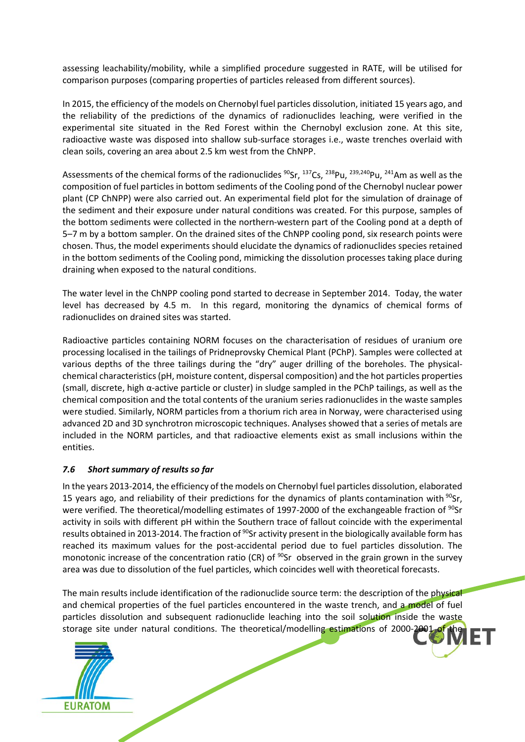assessing leachability/mobility, while a simplified procedure suggested in RATE, will be utilised for comparison purposes (comparing properties of particles released from different sources).

In 2015, the efficiency of the models on Chernobyl fuel particles dissolution, initiated 15 years ago, and the reliability of the predictions of the dynamics of radionuclides leaching, were verified in the experimental site situated in the Red Forest within the Chernobyl exclusion zone. At this site, radioactive waste was disposed into shallow sub-surface storages i.e., waste trenches overlaid with clean soils, covering an area about 2.5 km west from the ChNPP.

Assessments of the chemical forms of the radionuclides <sup>90</sup>Sr, <sup>137</sup>Cs, <sup>238</sup>Pu, <sup>239,240</sup>Pu, <sup>241</sup>Am as well as the composition of fuel particles in bottom sediments of the Cooling pond of the Chernobyl nuclear power plant (CP ChNPP) were also carried out. An experimental field plot for the simulation of drainage of the sediment and their exposure under natural conditions was created. For this purpose, samples of the bottom sediments were collected in the northern-western part of the Cooling pond at a depth of 5–7 m by a bottom sampler. On the drained sites of the ChNPP cooling pond, six research points were chosen. Thus, the model experiments should elucidate the dynamics of radionuclides species retained in the bottom sediments of the Cooling pond, mimicking the dissolution processes taking place during draining when exposed to the natural conditions.

The water level in the ChNPP cooling pond started to decrease in September 2014. Today, the water level has decreased by 4.5 m. In this regard, monitoring the dynamics of chemical forms of radionuclides on drained sites was started.

Radioactive particles containing NORM focuses on the characterisation of residues of uranium ore processing localised in the tailings of Pridneprovsky Chemical Plant (PChP). Samples were collected at various depths of the three tailings during the "dry" auger drilling of the boreholes. The physicalchemical characteristics (pH, moisture content, dispersal composition) and the hot particles properties (small, discrete, high α-active particle or cluster) in sludge sampled in the PChP tailings, as well as the chemical composition and the total contents of the uranium series radionuclides in the waste samples were studied. Similarly, NORM particles from a thorium rich area in Norway, were characterised using advanced 2D and 3D synchrotron microscopic techniques. Analyses showed that a series of metals are included in the NORM particles, and that radioactive elements exist as small inclusions within the entities.

### <span id="page-25-0"></span>*7.6 Short summary of results so far*

In the years 2013-2014, the efficiency of the models on Chernobyl fuel particles dissolution, elaborated 15 years ago, and reliability of their predictions for the dynamics of plants contamination with  $90$ Sr, were verified. The theoretical/modelling estimates of 1997-2000 of the exchangeable fraction of <sup>90</sup>Sr activity in soils with different pH within the Southern trace of fallout coincide with the experimental results obtained in 2013-2014. The fraction of <sup>90</sup>Sr activity present in the biologically available form has reached its maximum values for the post-accidental period due to fuel particles dissolution. The monotonic increase of the concentration ratio (CR) of  $90Sr$  observed in the grain grown in the survey area was due to dissolution of the fuel particles, which coincides well with theoretical forecasts.

 $he$ The main results include identification of the radionuclide source term: the description of the physical and chemical properties of the fuel particles encountered in the waste trench, and a model of fuel particles dissolution and subsequent radionuclide leaching into the soil solution inside the waste storage site under natural conditions. The theoretical/modelling estimations of 2000-200

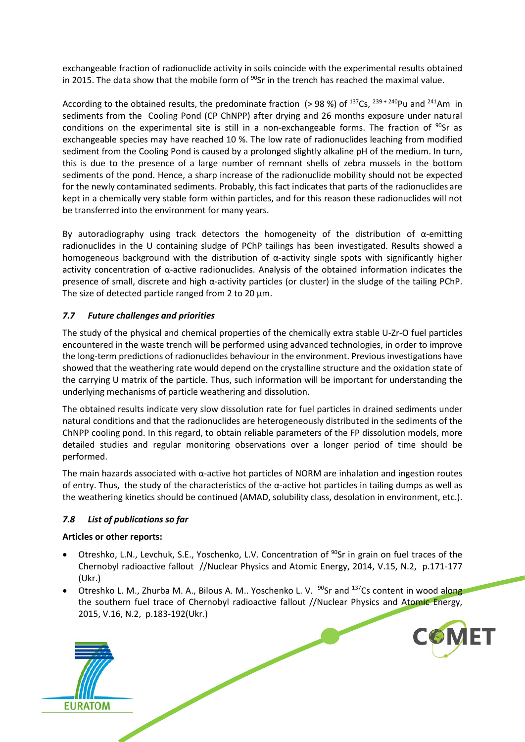exchangeable fraction of radionuclide activity in soils coincide with the experimental results obtained in 2015. The data show that the mobile form of  $90$ Sr in the trench has reached the maximal value.

According to the obtained results, the predominate fraction (> 98 %) of  $^{137}Cs$ ,  $^{239 + 240}Pu$  and  $^{241}Am$  in sediments from the Cooling Pond (CP ChNPP) after drying and 26 months exposure under natural conditions on the experimental site is still in a non-exchangeable forms. The fraction of  $^{90}Sr$  as exchangeable species may have reached 10 %. The low rate of radionuclides leaching from modified sediment from the Cooling Pond is caused by a prolonged slightly alkaline pH of the medium. In turn, this is due to the presence of a large number of remnant shells of zebra mussels in the bottom sediments of the pond. Hence, a sharp increase of the radionuclide mobility should not be expected for the newly contaminated sediments. Probably, this fact indicates that parts of the radionuclides are kept in a chemically very stable form within particles, and for this reason these radionuclides will not be transferred into the environment for many years.

By autoradiography using track detectors the homogeneity of the distribution of  $\alpha$ -emitting radionuclides in the U containing sludge of PChP tailings has been investigated. Results showed a homogeneous background with the distribution of  $\alpha$ -activity single spots with significantly higher activity concentration of  $\alpha$ -active radionuclides. Analysis of the obtained information indicates the presence of small, discrete and high α-activity particles (or cluster) in the sludge of the tailing PChP. The size of detected particle ranged from 2 to 20  $\mu$ m.

### <span id="page-26-0"></span>*7.7 Future challenges and priorities*

The study of the physical and chemical properties of the chemically extra stable U-Zr-O fuel particles encountered in the waste trench will be performed using advanced technologies, in order to improve the long-term predictions of radionuclides behaviour in the environment. Previous investigations have showed that the weathering rate would depend on the crystalline structure and the oxidation state of the carrying U matrix of the particle. Thus, such information will be important for understanding the underlying mechanisms of particle weathering and dissolution.

The obtained results indicate very slow dissolution rate for fuel particles in drained sediments under natural conditions and that the radionuclides are heterogeneously distributed in the sediments of the ChNPP cooling pond. In this regard, to obtain reliable parameters of the FP dissolution models, more detailed studies and regular monitoring observations over a longer period of time should be performed.

The main hazards associated with α-active hot particles of NORM are inhalation and ingestion routes of entry. Thus, the study of the characteristics of the α-active hot particles in tailing dumps as well as the weathering kinetics should be continued (AMAD, solubility class, desolation in environment, etc.).

### <span id="page-26-1"></span>*7.8 List of publications so far*

### **Articles or other reports:**

- Otreshko, L.N., Levchuk, S.E., Yoschenko, L.V. Concentration of <sup>90</sup>Sr in grain on fuel traces of the Chernobyl radioactive fallout //Nuclear Physics and Atomic Energy, 2014, V.15, N.2, p.171-177 (Ukr.)
- Otreshko L. M., Zhurba M. A., Bilous A. M.. Yoschenko L. V.  $^{90}$ Sr and  $^{137}$ Cs content in wood along the southern fuel trace of Chernobyl radioactive fallout //Nuclear Physics and Atomic Energy, 2015, V.16, N.2, p.183-192(Ukr.)

**COMET** 

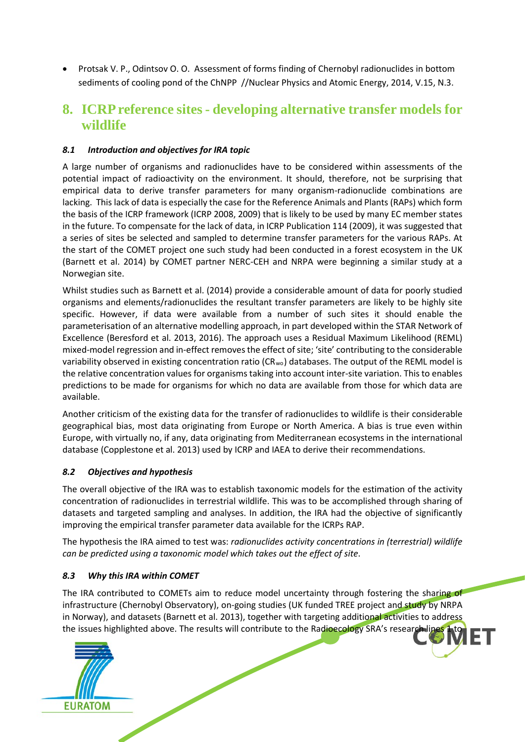• Protsak V. P., Odintsov O. O. Assessment of forms finding of Chernobyl radionuclides in bottom sediments of cooling pond of the ChNPP //Nuclear Physics and Atomic Energy, 2014, V.15, N.3.

### <span id="page-27-0"></span>**8. ICRP reference sites - developing alternative transfer models for wildlife**

### <span id="page-27-1"></span>*8.1 Introduction and objectives for IRA topic*

A large number of organisms and radionuclides have to be considered within assessments of the potential impact of radioactivity on the environment. It should, therefore, not be surprising that empirical data to derive transfer parameters for many organism-radionuclide combinations are lacking. This lack of data is especially the case for the Reference Animals and Plants (RAPs) which form the basis of the ICRP framework (ICRP 2008, 2009) that is likely to be used by many EC member states in the future. To compensate for the lack of data, in ICRP Publication 114 (2009), it was suggested that a series of sites be selected and sampled to determine transfer parameters for the various RAPs. At the start of the COMET project one such study had been conducted in a forest ecosystem in the UK (Barnett et al. 2014) by COMET partner NERC-CEH and NRPA were beginning a similar study at a Norwegian site.

Whilst studies such as Barnett et al. (2014) provide a considerable amount of data for poorly studied organisms and elements/radionuclides the resultant transfer parameters are likely to be highly site specific. However, if data were available from a number of such sites it should enable the parameterisation of an alternative modelling approach, in part developed within the STAR Network of Excellence (Beresford et al. 2013, 2016). The approach uses a Residual Maximum Likelihood (REML) mixed-model regression and in-effect removes the effect of site; 'site' contributing to the considerable variability observed in existing concentration ratio (CR<sub>wo</sub>) databases. The output of the REML model is the relative concentration values for organisms taking into account inter-site variation. This to enables predictions to be made for organisms for which no data are available from those for which data are available.

Another criticism of the existing data for the transfer of radionuclides to wildlife is their considerable geographical bias, most data originating from Europe or North America. A bias is true even within Europe, with virtually no, if any, data originating from Mediterranean ecosystems in the international database (Copplestone et al. 2013) used by ICRP and IAEA to derive their recommendations.

### <span id="page-27-2"></span>*8.2 Objectives and hypothesis*

The overall objective of the IRA was to establish taxonomic models for the estimation of the activity concentration of radionuclides in terrestrial wildlife. This was to be accomplished through sharing of datasets and targeted sampling and analyses. In addition, the IRA had the objective of significantly improving the empirical transfer parameter data available for the ICRPs RAP.

The hypothesis the IRA aimed to test was: *radionuclides activity concentrations in (terrestrial) wildlife can be predicted using a taxonomic model which takes out the effect of site*.

### <span id="page-27-3"></span>*8.3 Why this IRA within COMET*

 $\overline{10}$ The IRA contributed to COMETs aim to reduce model uncertainty through fostering the sharing of infrastructure (Chernobyl Observatory), on-going studies (UK funded TREE project and study by NRPA in Norway), and datasets (Barnett et al. 2013), together with targeting additional activities to address the issues highlighted above. The results will contribute to the Radioecology SRA's research line

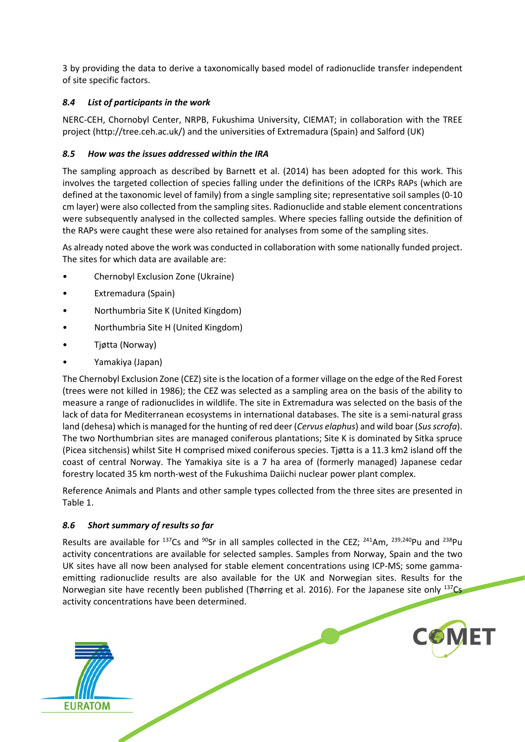3 by providing the data to derive a taxonomically based model of radionuclide transfer independent of site specific factors.

### <span id="page-28-0"></span>*8.4 List of participants in the work*

NERC-CEH, Chornobyl Center, NRPB, Fukushima University, CIEMAT; in collaboration with the TREE project (http://tree.ceh.ac.uk/) and the universities of Extremadura (Spain) and Salford (UK)

### <span id="page-28-1"></span>*8.5 How was the issues addressed within the IRA*

The sampling approach as described by Barnett et al. (2014) has been adopted for this work. This involves the targeted collection of species falling under the definitions of the ICRPs RAPs (which are defined at the taxonomic level of family) from a single sampling site; representative soil samples (0-10 cm layer) were also collected from the sampling sites. Radionuclide and stable element concentrations were subsequently analysed in the collected samples. Where species falling outside the definition of the RAPs were caught these were also retained for analyses from some of the sampling sites.

As already noted above the work was conducted in collaboration with some nationally funded project. The sites for which data are available are:

- Chernobyl Exclusion Zone (Ukraine)
- Extremadura (Spain)
- Northumbria Site K (United Kingdom)
- Northumbria Site H (United Kingdom)
- Tjøtta (Norway)
- Yamakiya (Japan)

The Chernobyl Exclusion Zone (CEZ) site is the location of a former village on the edge of the Red Forest (trees were not killed in 1986); the CEZ was selected as a sampling area on the basis of the ability to measure a range of radionuclides in wildlife. The site in Extremadura was selected on the basis of the lack of data for Mediterranean ecosystems in international databases. The site is a semi-natural grass land (dehesa) which is managed for the hunting of red deer (*Cervus elaphus*) and wild boar (*Sus scrofa*). The two Northumbrian sites are managed coniferous plantations; Site K is dominated by Sitka spruce (Picea sitchensis) whilst Site H comprised mixed coniferous species. Tjøtta is a 11.3 km2 island off the coast of central Norway. The Yamakiya site is a 7 ha area of (formerly managed) Japanese cedar forestry located 35 km north-west of the Fukushima Daiichi nuclear power plant complex.

Reference Animals and Plants and other sample types collected from the three sites are presented in Table 1.

### <span id="page-28-2"></span>*8.6 Short summary of results so far*

**EURATOM** 

Results are available for  $^{137}$ Cs and  $^{90}$ Sr in all samples collected in the CEZ;  $^{241}$ Am,  $^{239,240}$ Pu and  $^{238}$ Pu activity concentrations are available for selected samples. Samples from Norway, Spain and the two UK sites have all now been analysed for stable element concentrations using ICP-MS; some gammaemitting radionuclide results are also available for the UK and Norwegian sites. Results for the Norwegian site have recently been published (Thørring et al. 2016). For the Japanese site only <sup>137</sup>Cs activity concentrations have been determined.

**COMFT**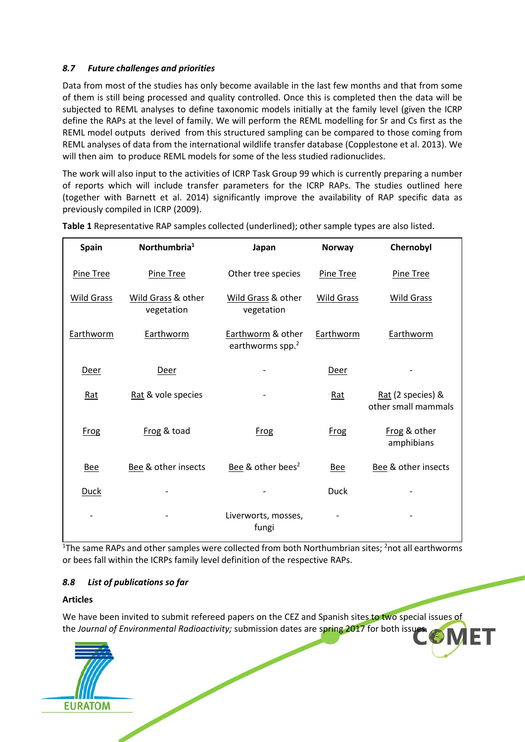### <span id="page-29-0"></span>*8.7 Future challenges and priorities*

Data from most of the studies has only become available in the last few months and that from some of them is still being processed and quality controlled. Once this is completed then the data will be subjected to REML analyses to define taxonomic models initially at the family level (given the ICRP define the RAPs at the level of family. We will perform the REML modelling for Sr and Cs first as the REML model outputs derived from this structured sampling can be compared to those coming from REML analyses of data from the international wildlife transfer database (Copplestone et al. 2013). We will then aim to produce REML models for some of the less studied radionuclides.

The work will also input to the activities of ICRP Task Group 99 which is currently preparing a number of reports which will include transfer parameters for the ICRP RAPs. The studies outlined here (together with Barnett et al. 2014) significantly improve the availability of RAP specific data as previously compiled in ICRP (2009).

| <b>Spain</b> | Northumbria <sup>1</sup>         | Japan                                             | <b>Norway</b>     | Chernobyl                                |
|--------------|----------------------------------|---------------------------------------------------|-------------------|------------------------------------------|
| Pine Tree    | Pine Tree                        | Other tree species                                | Pine Tree         | Pine Tree                                |
| Wild Grass   | Wild Grass & other<br>vegetation | Wild Grass & other<br>vegetation                  | <b>Wild Grass</b> | Wild Grass                               |
| Earthworm    | Earthworm                        | Earthworm & other<br>earthworms spp. <sup>2</sup> | Earthworm         | Earthworm                                |
| Deer         | Deer                             |                                                   | Deer              |                                          |
| Rat          | Rat & vole species               |                                                   | Rat               | Rat (2 species) &<br>other small mammals |
| <b>Frog</b>  | Frog & toad                      | Frog                                              | <b>Frog</b>       | Frog & other<br>amphibians               |
| <b>Bee</b>   | Bee & other insects              | Bee & other bees <sup>2</sup>                     | <b>Bee</b>        | Bee & other insects                      |
| <b>Duck</b>  |                                  |                                                   | <b>Duck</b>       |                                          |
|              |                                  | Liverworts, mosses,<br>fungi                      |                   |                                          |

**Table 1** Representative RAP samples collected (underlined); other sample types are also listed.

<sup>1</sup>The same RAPs and other samples were collected from both Northumbrian sites; <sup>2</sup>not all earthworms or bees fall within the ICRPs family level definition of the respective RAPs.

### <span id="page-29-1"></span>*8.8 List of publications so far*

### **Articles**

 $\sigma$ We have been invited to submit refereed papers on the CEZ and Spanish sites to two special issues of the *Journal of Environmental Radioactivity;* submission dates are spring 2017 for both issue

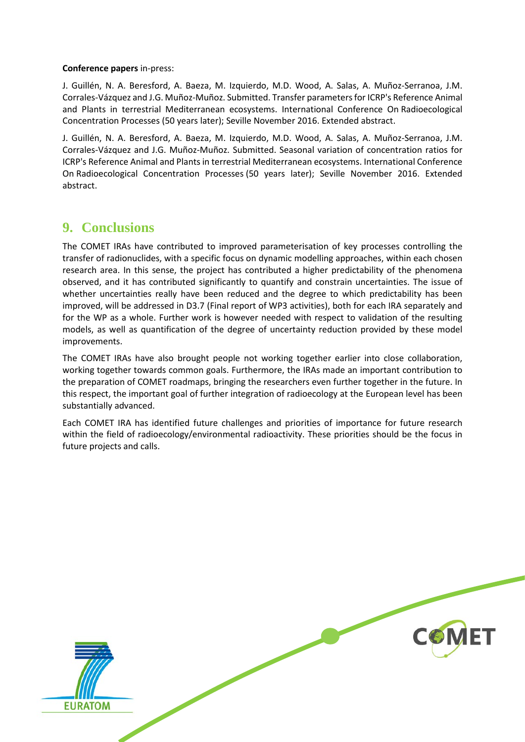#### **Conference papers** in-press:

J. Guillén, N. A. Beresford, A. Baeza, M. Izquierdo, M.D. Wood, A. Salas, A. Muñoz-Serranoa, J.M. Corrales-Vázquez and J.G. Muñoz-Muñoz. Submitted. Transfer parameters for ICRP's Reference Animal and Plants in terrestrial Mediterranean ecosystems. International Conference On Radioecological Concentration Processes (50 years later); Seville November 2016. Extended abstract.

J. Guillén, N. A. Beresford, A. Baeza, M. Izquierdo, M.D. Wood, A. Salas, A. Muñoz-Serranoa, J.M. Corrales-Vázquez and J.G. Muñoz-Muñoz. Submitted. Seasonal variation of concentration ratios for ICRP's Reference Animal and Plants in terrestrial Mediterranean ecosystems. International Conference On Radioecological Concentration Processes (50 years later); Seville November 2016. Extended abstract.

### <span id="page-30-0"></span>**9. Conclusions**

The COMET IRAs have contributed to improved parameterisation of key processes controlling the transfer of radionuclides, with a specific focus on dynamic modelling approaches, within each chosen research area. In this sense, the project has contributed a higher predictability of the phenomena observed, and it has contributed significantly to quantify and constrain uncertainties. The issue of whether uncertainties really have been reduced and the degree to which predictability has been improved, will be addressed in D3.7 (Final report of WP3 activities), both for each IRA separately and for the WP as a whole. Further work is however needed with respect to validation of the resulting models, as well as quantification of the degree of uncertainty reduction provided by these model improvements.

The COMET IRAs have also brought people not working together earlier into close collaboration, working together towards common goals. Furthermore, the IRAs made an important contribution to the preparation of COMET roadmaps, bringing the researchers even further together in the future. In this respect, the important goal of further integration of radioecology at the European level has been substantially advanced.

Each COMET IRA has identified future challenges and priorities of importance for future research within the field of radioecology/environmental radioactivity. These priorities should be the focus in future projects and calls.

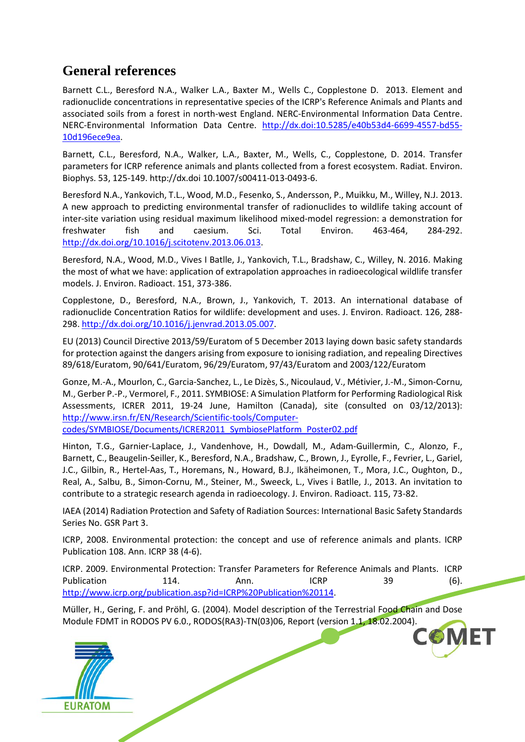### <span id="page-31-0"></span>**General references**

Barnett C.L., Beresford N.A., Walker L.A., Baxter M., Wells C., Copplestone D. 2013. Element and radionuclide concentrations in representative species of the ICRP's Reference Animals and Plants and associated soils from a forest in north-west England. NERC-Environmental Information Data Centre. NERC-Environmental Information Data Centre. [http://dx.doi:10.5285/e40b53d4-6699-4557-bd55-](http://dx.doi:10.5285/e40b53d4-6699-4557-bd55-10d196ece9ea) [10d196ece9ea.](http://dx.doi:10.5285/e40b53d4-6699-4557-bd55-10d196ece9ea)

Barnett, C.L., Beresford, N.A., Walker, L.A., Baxter, M., Wells, C., Copplestone, D. 2014. Transfer parameters for ICRP reference animals and plants collected from a forest ecosystem. Radiat. Environ. Biophys. 53, 125-149. http://dx.doi 10.1007/s00411-013-0493-6.

Beresford N.A., Yankovich, T.L., Wood, M.D., Fesenko, S., Andersson, P., Muikku, M., Willey, N.J. 2013. A new approach to predicting environmental transfer of radionuclides to wildlife taking account of inter-site variation using residual maximum likelihood mixed-model regression: a demonstration for freshwater fish and caesium. Sci. Total Environ. 463-464, 284-292. [http://dx.doi.org/10.1016/j.scitotenv.2013.06.013.](http://dx.doi.org/10.1016/j.scitotenv.2013.06.013)

Beresford, N.A., Wood, M.D., Vives I Batlle, J., Yankovich, T.L., Bradshaw, C., Willey, N. 2016. Making the most of what we have: application of extrapolation approaches in radioecological wildlife transfer models. J. Environ. Radioact. 151, 373-386.

Copplestone, D., Beresford, N.A., Brown, J., Yankovich, T. 2013. An international database of radionuclide Concentration Ratios for wildlife: development and uses. J. Environ. Radioact. 126, 288- 298. [http://dx.doi.org/10.1016/j.jenvrad.2013.05.007.](http://dx.doi.org/10.1016/j.jenvrad.2013.05.007)

EU (2013) Council Directive 2013/59/Euratom of 5 December 2013 laying down basic safety standards for protection against the dangers arising from exposure to ionising radiation, and repealing Directives 89/618/Euratom, 90/641/Euratom, 96/29/Euratom, 97/43/Euratom and 2003/122/Euratom

Gonze, M.-A., Mourlon, C., Garcia-Sanchez, L., Le Dizès, S., Nicoulaud, V., Métivier, J.-M., Simon-Cornu, M., Gerber P.-P., Vermorel, F., 2011. SYMBIOSE: A Simulation Platform for Performing Radiological Risk Assessments, ICRER 2011, 19-24 June, Hamilton (Canada), site (consulted on 03/12/2013): [http://www.irsn.fr/EN/Research/Scientific-tools/Computer-](http://www.irsn.fr/EN/Research/Scientific-tools/Computer-codes/SYMBIOSE/Documents/ICRER2011_SymbiosePlatform_Poster02.pdf)

[codes/SYMBIOSE/Documents/ICRER2011\\_SymbiosePlatform\\_Poster02.pdf](http://www.irsn.fr/EN/Research/Scientific-tools/Computer-codes/SYMBIOSE/Documents/ICRER2011_SymbiosePlatform_Poster02.pdf) 

Hinton, T.G., Garnier-Laplace, J., Vandenhove, H., Dowdall, M., Adam-Guillermin, C., Alonzo, F., Barnett, C., Beaugelin-Seiller, K., Beresford, N.A., Bradshaw, C., Brown, J., Eyrolle, F., Fevrier, L., Gariel, J.C., Gilbin, R., Hertel-Aas, T., Horemans, N., Howard, B.J., Ikäheimonen, T., Mora, J.C., Oughton, D., Real, A., Salbu, B., Simon-Cornu, M., Steiner, M., Sweeck, L., Vives i Batlle, J., 2013. An invitation to contribute to a strategic research agenda in radioecology. J. Environ. Radioact. 115, 73-82.

IAEA (2014) Radiation Protection and Safety of Radiation Sources: International Basic Safety Standards Series No. GSR Part 3.

ICRP, 2008. Environmental protection: the concept and use of reference animals and plants. ICRP Publication 108. Ann. ICRP 38 (4-6).

ICRP. 2009. Environmental Protection: Transfer Parameters for Reference Animals and Plants. ICRP Publication 114. Ann. ICRP 39 (6). [http://www.icrp.org/publication.asp?id=ICRP%20Publication%20114.](http://www.icrp.org/publication.asp?id=ICRP%20Publication%20114)

Müller, H., Gering, F. and Pröhl, G. (2004). Model description of the Terrestrial Food Chain and Dose Module FDMT in RODOS PV 6.0., RODOS(RA3)-TN(03)06, Report (version 1.1, 18.02.2004).

**6MFT**